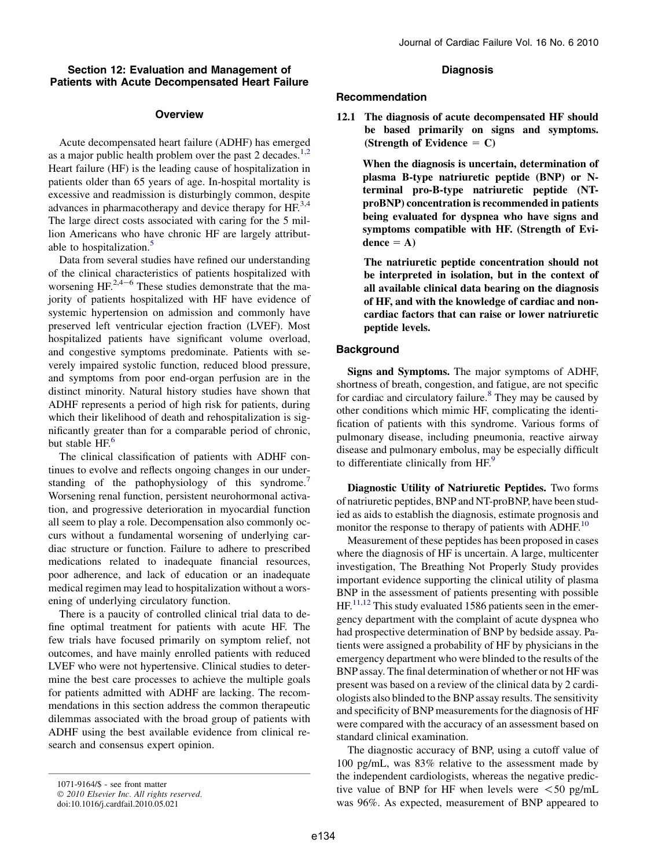### Section 12: Evaluation and Management of Patients with Acute Decompensated Heart Failure

## **Overview**

Acute decompensated heart failure (ADHF) has emerged as a major public health problem over the past 2 decades. $1,2$ Heart failure (HF) is the leading cause of hospitalization in patients older than 65 years of age. In-hospital mortality is excessive and readmission is disturbingly common, despite advances in pharmacotherapy and device therapy for HF.<sup>[3,4](#page-18-0)</sup> The large direct costs associated with caring for the 5 million Americans who have chronic HF are largely attribut-able to hospitalization.<sup>[5](#page-18-0)</sup>

Data from several studies have refined our understanding of the clinical characteristics of patients hospitalized with worsening HF. $^{2,4-6}$  These studies demonstrate that the majority of patients hospitalized with HF have evidence of systemic hypertension on admission and commonly have preserved left ventricular ejection fraction (LVEF). Most hospitalized patients have significant volume overload, and congestive symptoms predominate. Patients with severely impaired systolic function, reduced blood pressure, and symptoms from poor end-organ perfusion are in the distinct minority. Natural history studies have shown that ADHF represents a period of high risk for patients, during which their likelihood of death and rehospitalization is significantly greater than for a comparable period of chronic, but stable HF.<sup>[6](#page-18-0)</sup>

The clinical classification of patients with ADHF continues to evolve and reflects ongoing changes in our under-standing of the pathophysiology of this syndrome.<sup>[7](#page-18-0)</sup> Worsening renal function, persistent neurohormonal activation, and progressive deterioration in myocardial function all seem to play a role. Decompensation also commonly occurs without a fundamental worsening of underlying cardiac structure or function. Failure to adhere to prescribed medications related to inadequate financial resources, poor adherence, and lack of education or an inadequate medical regimen may lead to hospitalization without a worsening of underlying circulatory function.

There is a paucity of controlled clinical trial data to define optimal treatment for patients with acute HF. The few trials have focused primarily on symptom relief, not outcomes, and have mainly enrolled patients with reduced LVEF who were not hypertensive. Clinical studies to determine the best care processes to achieve the multiple goals for patients admitted with ADHF are lacking. The recommendations in this section address the common therapeutic dilemmas associated with the broad group of patients with ADHF using the best available evidence from clinical research and consensus expert opinion.

### **Diagnosis**

# Recommendation

12.1 The diagnosis of acute decompensated HF should be based primarily on signs and symptoms. (Strength of Evidence  $= C$ )

When the diagnosis is uncertain, determination of plasma B-type natriuretic peptide (BNP) or Nterminal pro-B-type natriuretic peptide (NTproBNP) concentration is recommended in patients being evaluated for dyspnea who have signs and symptoms compatible with HF. (Strength of Evi $dence = A$ )

The natriuretic peptide concentration should not be interpreted in isolation, but in the context of all available clinical data bearing on the diagnosis of HF, and with the knowledge of cardiac and noncardiac factors that can raise or lower natriuretic peptide levels.

### **Background**

Signs and Symptoms. The major symptoms of ADHF, shortness of breath, congestion, and fatigue, are not specific for cardiac and circulatory failure. $8$  They may be caused by other conditions which mimic HF, complicating the identification of patients with this syndrome. Various forms of pulmonary disease, including pneumonia, reactive airway disease and pulmonary embolus, may be especially difficult to differentiate clinically from HF.<sup>[9](#page-18-0)</sup>

Diagnostic Utility of Natriuretic Peptides. Two forms of natriuretic peptides, BNP and NT-proBNP, have been studied as aids to establish the diagnosis, estimate prognosis and monitor the response to therapy of patients with ADHF.<sup>[10](#page-18-0)</sup>

Measurement of these peptides has been proposed in cases where the diagnosis of HF is uncertain. A large, multicenter investigation, The Breathing Not Properly Study provides important evidence supporting the clinical utility of plasma BNP in the assessment of patients presenting with possible  $HF<sup>11,12</sup>$  $HF<sup>11,12</sup>$  $HF<sup>11,12</sup>$  This study evaluated 1586 patients seen in the emergency department with the complaint of acute dyspnea who had prospective determination of BNP by bedside assay. Patients were assigned a probability of HF by physicians in the emergency department who were blinded to the results of the BNP assay. The final determination of whether or not HF was present was based on a review of the clinical data by 2 cardiologists also blinded to the BNP assay results. The sensitivity and specificity of BNP measurements for the diagnosis of HF were compared with the accuracy of an assessment based on standard clinical examination.

The diagnostic accuracy of BNP, using a cutoff value of 100 pg/mL, was 83% relative to the assessment made by the independent cardiologists, whereas the negative predictive value of BNP for HF when levels were  $\langle 50 \text{ pg/mL} \rangle$ was 96%. As expected, measurement of BNP appeared to

<sup>1071-9164/\$ -</sup> see front matter

<sup>© 2010</sup> Elsevier Inc. All rights reserved.

doi:10.1016/j.cardfail.2010.05.021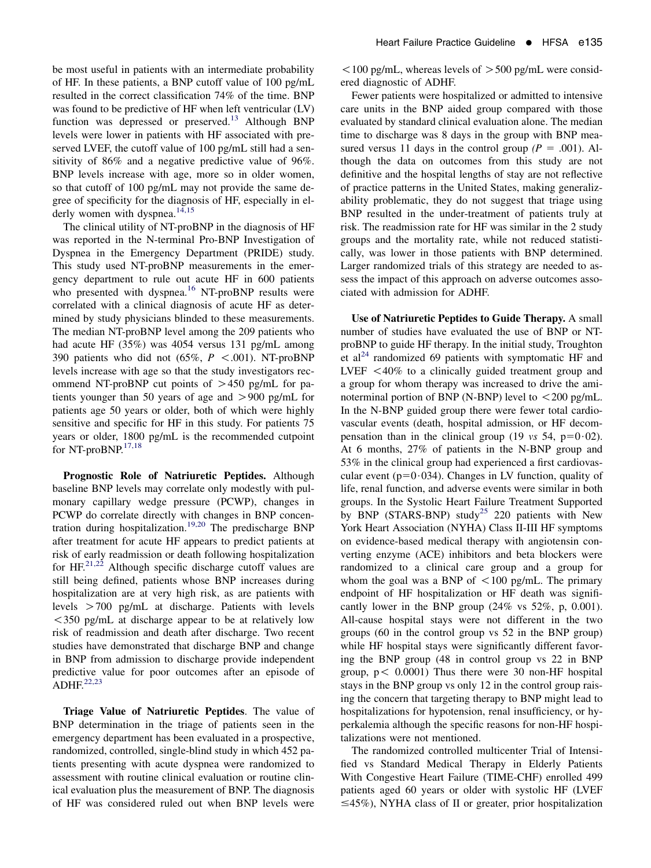be most useful in patients with an intermediate probability of HF. In these patients, a BNP cutoff value of 100 pg/mL resulted in the correct classification 74% of the time. BNP was found to be predictive of HF when left ventricular (LV) function was depressed or preserved.<sup>[13](#page-18-0)</sup> Although BNP levels were lower in patients with HF associated with preserved LVEF, the cutoff value of 100 pg/mL still had a sensitivity of 86% and a negative predictive value of 96%. BNP levels increase with age, more so in older women, so that cutoff of 100 pg/mL may not provide the same degree of specificity for the diagnosis of HF, especially in elderly women with dyspnea. $14,15$ 

The clinical utility of NT-proBNP in the diagnosis of HF was reported in the N-terminal Pro-BNP Investigation of Dyspnea in the Emergency Department (PRIDE) study. This study used NT-proBNP measurements in the emergency department to rule out acute HF in 600 patients who presented with dyspnea.<sup>[16](#page-18-0)</sup> NT-proBNP results were correlated with a clinical diagnosis of acute HF as determined by study physicians blinded to these measurements. The median NT-proBNP level among the 209 patients who had acute HF (35%) was 4054 versus 131 pg/mL among 390 patients who did not  $(65\%, P < .001)$ . NT-proBNP levels increase with age so that the study investigators recommend NT-proBNP cut points of  $>450$  pg/mL for patients younger than 50 years of age and  $>900$  pg/mL for patients age 50 years or older, both of which were highly sensitive and specific for HF in this study. For patients 75 years or older, 1800 pg/mL is the recommended cutpoint for NT-proBNP.<sup>[17,18](#page-18-0)</sup>

Prognostic Role of Natriuretic Peptides. Although baseline BNP levels may correlate only modestly with pulmonary capillary wedge pressure (PCWP), changes in PCWP do correlate directly with changes in BNP concentration during hospitalization.[19,20](#page-18-0) The predischarge BNP after treatment for acute HF appears to predict patients at risk of early readmission or death following hospitalization for HF.[21,22](#page-19-0) Although specific discharge cutoff values are still being defined, patients whose BNP increases during hospitalization are at very high risk, as are patients with levels  $>700$  pg/mL at discharge. Patients with levels !350 pg/mL at discharge appear to be at relatively low risk of readmission and death after discharge. Two recent studies have demonstrated that discharge BNP and change in BNP from admission to discharge provide independent predictive value for poor outcomes after an episode of ADHF. $22,23$ 

Triage Value of Natriuretic Peptides. The value of BNP determination in the triage of patients seen in the emergency department has been evaluated in a prospective, randomized, controlled, single-blind study in which 452 patients presenting with acute dyspnea were randomized to assessment with routine clinical evaluation or routine clinical evaluation plus the measurement of BNP. The diagnosis of HF was considered ruled out when BNP levels were

 $100$  pg/mL, whereas levels of  $> 500$  pg/mL were considered diagnostic of ADHF.

Fewer patients were hospitalized or admitted to intensive care units in the BNP aided group compared with those evaluated by standard clinical evaluation alone. The median time to discharge was 8 days in the group with BNP measured versus 11 days in the control group ( $P = .001$ ). Although the data on outcomes from this study are not definitive and the hospital lengths of stay are not reflective of practice patterns in the United States, making generalizability problematic, they do not suggest that triage using BNP resulted in the under-treatment of patients truly at risk. The readmission rate for HF was similar in the 2 study groups and the mortality rate, while not reduced statistically, was lower in those patients with BNP determined. Larger randomized trials of this strategy are needed to assess the impact of this approach on adverse outcomes associated with admission for ADHF.

Use of Natriuretic Peptides to Guide Therapy. A small number of studies have evaluated the use of BNP or NTproBNP to guide HF therapy. In the initial study, Troughton et al<sup>24</sup> randomized 69 patients with symptomatic HF and LVEF  $\langle 40\%$  to a clinically guided treatment group and a group for whom therapy was increased to drive the aminoterminal portion of BNP (N-BNP) level to  $< 200$  pg/mL. In the N-BNP guided group there were fewer total cardiovascular events (death, hospital admission, or HF decompensation than in the clinical group (19 vs 54,  $p=0.02$ ). At 6 months, 27% of patients in the N-BNP group and 53% in the clinical group had experienced a first cardiovascular event ( $p=0.034$ ). Changes in LV function, quality of life, renal function, and adverse events were similar in both groups. In the Systolic Heart Failure Treatment Supported by BNP (STARS-BNP) study<sup>[25](#page-19-0)</sup> 220 patients with New York Heart Association (NYHA) Class II-III HF symptoms on evidence-based medical therapy with angiotensin converting enzyme (ACE) inhibitors and beta blockers were randomized to a clinical care group and a group for whom the goal was a BNP of  $\langle 100 \text{ pg/mL}$ . The primary endpoint of HF hospitalization or HF death was significantly lower in the BNP group  $(24\% \text{ vs } 52\%, \text{ p}, 0.001)$ . All-cause hospital stays were not different in the two groups (60 in the control group vs 52 in the BNP group) while HF hospital stays were significantly different favoring the BNP group (48 in control group vs 22 in BNP group,  $p < 0.0001$ ) Thus there were 30 non-HF hospital stays in the BNP group vs only 12 in the control group raising the concern that targeting therapy to BNP might lead to hospitalizations for hypotension, renal insufficiency, or hyperkalemia although the specific reasons for non-HF hospitalizations were not mentioned.

The randomized controlled multicenter Trial of Intensified vs Standard Medical Therapy in Elderly Patients With Congestive Heart Failure (TIME-CHF) enrolled 499 patients aged 60 years or older with systolic HF (LVEF  $\leq$ 45%), NYHA class of II or greater, prior hospitalization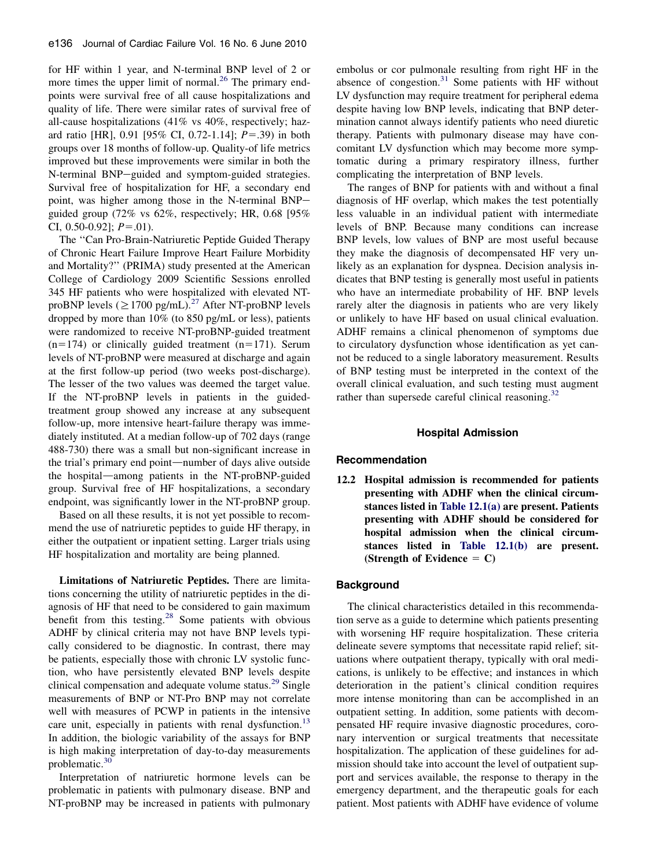for HF within 1 year, and N-terminal BNP level of 2 or more times the upper limit of normal.<sup>[26](#page-19-0)</sup> The primary endpoints were survival free of all cause hospitalizations and quality of life. There were similar rates of survival free of all-cause hospitalizations (41% vs 40%, respectively; hazard ratio [HR], 0.91 [95% CI, 0.72-1.14];  $P = .39$  in both groups over 18 months of follow-up. Quality-of life metrics improved but these improvements were similar in both the N-terminal BNP-guided and symptom-guided strategies. Survival free of hospitalization for HF, a secondary end point, was higher among those in the N-terminal BNPguided group (72% vs 62%, respectively; HR, 0.68 [95% CI, 0.50-0.92];  $P=.01$ ).

The ''Can Pro-Brain-Natriuretic Peptide Guided Therapy of Chronic Heart Failure Improve Heart Failure Morbidity and Mortality?'' (PRIMA) study presented at the American College of Cardiology 2009 Scientific Sessions enrolled 345 HF patients who were hospitalized with elevated NTproBNP levels ( $\geq$ 1700 pg/mL).<sup>[27](#page-19-0)</sup> After NT-proBNP levels dropped by more than 10% (to 850 pg/mL or less), patients were randomized to receive NT-proBNP-guided treatment  $(n=174)$  or clinically guided treatment  $(n=171)$ . Serum levels of NT-proBNP were measured at discharge and again at the first follow-up period (two weeks post-discharge). The lesser of the two values was deemed the target value. If the NT-proBNP levels in patients in the guidedtreatment group showed any increase at any subsequent follow-up, more intensive heart-failure therapy was immediately instituted. At a median follow-up of 702 days (range 488-730) there was a small but non-significant increase in the trial's primary end point—number of days alive outside the hospital—among patients in the NT-proBNP-guided group. Survival free of HF hospitalizations, a secondary endpoint, was significantly lower in the NT-proBNP group.

Based on all these results, it is not yet possible to recommend the use of natriuretic peptides to guide HF therapy, in either the outpatient or inpatient setting. Larger trials using HF hospitalization and mortality are being planned.

Limitations of Natriuretic Peptides. There are limitations concerning the utility of natriuretic peptides in the diagnosis of HF that need to be considered to gain maximum benefit from this testing. $28$  Some patients with obvious ADHF by clinical criteria may not have BNP levels typically considered to be diagnostic. In contrast, there may be patients, especially those with chronic LV systolic function, who have persistently elevated BNP levels despite clinical compensation and adequate volume status.<sup>[29](#page-19-0)</sup> Single measurements of BNP or NT-Pro BNP may not correlate well with measures of PCWP in patients in the intensive care unit, especially in patients with renal dysfunction.<sup>[13](#page-18-0)</sup> In addition, the biologic variability of the assays for BNP is high making interpretation of day-to-day measurements problematic. $30$ 

Interpretation of natriuretic hormone levels can be problematic in patients with pulmonary disease. BNP and NT-proBNP may be increased in patients with pulmonary embolus or cor pulmonale resulting from right HF in the absence of congestion. $31$  Some patients with HF without LV dysfunction may require treatment for peripheral edema despite having low BNP levels, indicating that BNP determination cannot always identify patients who need diuretic therapy. Patients with pulmonary disease may have concomitant LV dysfunction which may become more symptomatic during a primary respiratory illness, further complicating the interpretation of BNP levels.

The ranges of BNP for patients with and without a final diagnosis of HF overlap, which makes the test potentially less valuable in an individual patient with intermediate levels of BNP. Because many conditions can increase BNP levels, low values of BNP are most useful because they make the diagnosis of decompensated HF very unlikely as an explanation for dyspnea. Decision analysis indicates that BNP testing is generally most useful in patients who have an intermediate probability of HF. BNP levels rarely alter the diagnosis in patients who are very likely or unlikely to have HF based on usual clinical evaluation. ADHF remains a clinical phenomenon of symptoms due to circulatory dysfunction whose identification as yet cannot be reduced to a single laboratory measurement. Results of BNP testing must be interpreted in the context of the overall clinical evaluation, and such testing must augment rather than supersede careful clinical reasoning. $32$ 

### Hospital Admission

### Recommendation

12.2 Hospital admission is recommended for patients presenting with ADHF when the clinical circumstances listed in [Table 12.1\(a\)](#page-3-0) are present. Patients presenting with ADHF should be considered for hospital admission when the clinical circumstances listed in [Table 12.1\(b\)](#page-3-0) are present. (Strength of Evidence  $= C$ )

## **Background**

The clinical characteristics detailed in this recommendation serve as a guide to determine which patients presenting with worsening HF require hospitalization. These criteria delineate severe symptoms that necessitate rapid relief; situations where outpatient therapy, typically with oral medications, is unlikely to be effective; and instances in which deterioration in the patient's clinical condition requires more intense monitoring than can be accomplished in an outpatient setting. In addition, some patients with decompensated HF require invasive diagnostic procedures, coronary intervention or surgical treatments that necessitate hospitalization. The application of these guidelines for admission should take into account the level of outpatient support and services available, the response to therapy in the emergency department, and the therapeutic goals for each patient. Most patients with ADHF have evidence of volume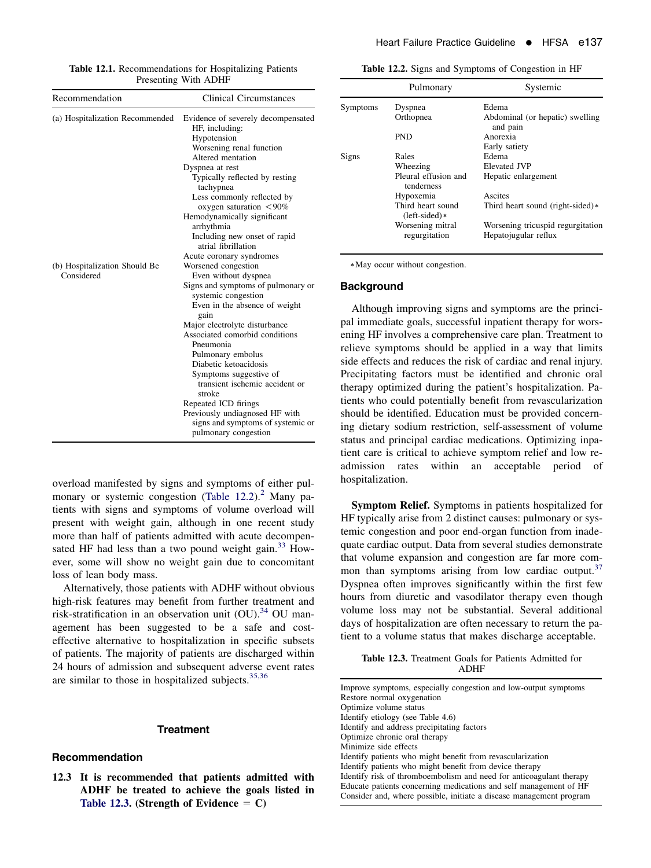<span id="page-3-0"></span>

| <b>Table 12.1.</b> Recommendations for Hospitalizing Patients |  |
|---------------------------------------------------------------|--|
| Presenting With ADHF                                          |  |

| Recommendation                              | Clinical Circumstances                                                                                               |
|---------------------------------------------|----------------------------------------------------------------------------------------------------------------------|
| (a) Hospitalization Recommended             | Evidence of severely decompensated<br>HF, including:<br>Hypotension<br>Worsening renal function<br>Altered mentation |
|                                             | Dyspnea at rest<br>Typically reflected by resting<br>tachypnea                                                       |
|                                             | Less commonly reflected by<br>oxygen saturation $\leq 90\%$                                                          |
|                                             | Hemodynamically significant<br>arrhythmia<br>Including new onset of rapid                                            |
|                                             | atrial fibrillation<br>Acute coronary syndromes                                                                      |
| (b) Hospitalization Should Be<br>Considered | Worsened congestion<br>Even without dyspnea                                                                          |
|                                             | Signs and symptoms of pulmonary or<br>systemic congestion<br>Even in the absence of weight<br>gain                   |
|                                             | Major electrolyte disturbance                                                                                        |
|                                             | Associated comorbid conditions                                                                                       |
|                                             | Pneumonia                                                                                                            |
|                                             | Pulmonary embolus                                                                                                    |
|                                             | Diabetic ketoacidosis                                                                                                |
|                                             | Symptoms suggestive of<br>transient ischemic accident or<br>stroke                                                   |
|                                             | Repeated ICD firings                                                                                                 |
|                                             | Previously undiagnosed HF with<br>signs and symptoms of systemic or<br>pulmonary congestion                          |

overload manifested by signs and symptoms of either pul-monary or systemic congestion (Table 1[2](#page-18-0).2).<sup>2</sup> Many patients with signs and symptoms of volume overload will present with weight gain, although in one recent study more than half of patients admitted with acute decompensated HF had less than a two pound weight gain. $33$  However, some will show no weight gain due to concomitant loss of lean body mass.

Alternatively, those patients with ADHF without obvious high-risk features may benefit from further treatment and risk-stratification in an observation unit  $(OU)$ .<sup>[34](#page-19-0)</sup> OU management has been suggested to be a safe and costeffective alternative to hospitalization in specific subsets of patients. The majority of patients are discharged within 24 hours of admission and subsequent adverse event rates are similar to those in hospitalized subjects. $35,36$ 

### **Treatment**

### Recommendation

12.3 It is recommended that patients admitted with ADHF be treated to achieve the goals listed in Table 12.3. (Strength of Evidence  $= C$ )

Table 12.2. Signs and Symptoms of Congestion in HF

|          | Pulmonary                            | Systemic                                                  |
|----------|--------------------------------------|-----------------------------------------------------------|
| Symptoms | Dyspnea                              | Edema                                                     |
|          | Orthopnea                            | Abdominal (or hepatic) swelling<br>and pain               |
|          | <b>PND</b>                           | Anorexia                                                  |
|          |                                      | Early satiety                                             |
| Signs    | Rales                                | Edema                                                     |
|          | Wheezing                             | Elevated JVP                                              |
|          | Pleural effusion and<br>tenderness   | Hepatic enlargement                                       |
|          | Hypoxemia                            | Ascites                                                   |
|          | Third heart sound<br>$(left-sided)*$ | Third heart sound (right-sided)*                          |
|          | Worsening mitral<br>regurgitation    | Worsening tricuspid regurgitation<br>Hepatojugular reflux |
|          |                                      |                                                           |

\*May occur without congestion.

## **Background**

Although improving signs and symptoms are the principal immediate goals, successful inpatient therapy for worsening HF involves a comprehensive care plan. Treatment to relieve symptoms should be applied in a way that limits side effects and reduces the risk of cardiac and renal injury. Precipitating factors must be identified and chronic oral therapy optimized during the patient's hospitalization. Patients who could potentially benefit from revascularization should be identified. Education must be provided concerning dietary sodium restriction, self-assessment of volume status and principal cardiac medications. Optimizing inpatient care is critical to achieve symptom relief and low readmission rates within an acceptable period of hospitalization.

Symptom Relief. Symptoms in patients hospitalized for HF typically arise from 2 distinct causes: pulmonary or systemic congestion and poor end-organ function from inadequate cardiac output. Data from several studies demonstrate that volume expansion and congestion are far more common than symptoms arising from low cardiac output.<sup>37</sup> Dyspnea often improves significantly within the first few hours from diuretic and vasodilator therapy even though volume loss may not be substantial. Several additional days of hospitalization are often necessary to return the patient to a volume status that makes discharge acceptable.

Table 12.3. Treatment Goals for Patients Admitted for ADHF

| Improve symptoms, especially congestion and low-output symptoms     |  |  |
|---------------------------------------------------------------------|--|--|
| Restore normal oxygenation                                          |  |  |
| Optimize volume status                                              |  |  |
| Identify etiology (see Table 4.6)                                   |  |  |
| Identify and address precipitating factors                          |  |  |
| Optimize chronic oral therapy                                       |  |  |
| Minimize side effects                                               |  |  |
| Identify patients who might benefit from revascularization          |  |  |
| Identify patients who might benefit from device therapy             |  |  |
| Identify risk of thromboembolism and need for anticoagulant therapy |  |  |
| Educate patients concerning medications and self management of HF   |  |  |
| Consider and, where possible, initiate a disease management program |  |  |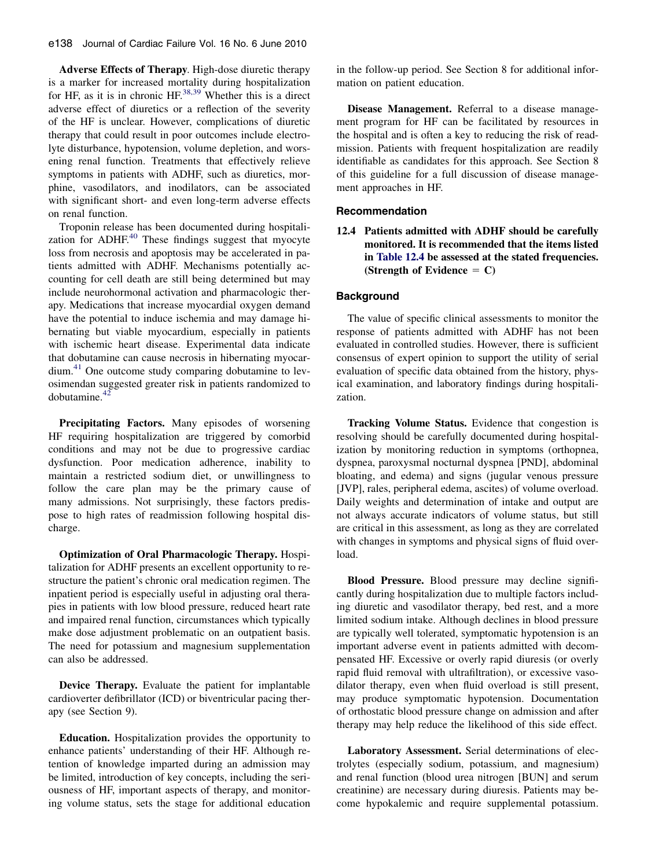Adverse Effects of Therapy. High-dose diuretic therapy is a marker for increased mortality during hospitalization for HF, as it is in chronic  $HF^{38,39}$  $HF^{38,39}$  $HF^{38,39}$  Whether this is a direct adverse effect of diuretics or a reflection of the severity of the HF is unclear. However, complications of diuretic therapy that could result in poor outcomes include electrolyte disturbance, hypotension, volume depletion, and worsening renal function. Treatments that effectively relieve symptoms in patients with ADHF, such as diuretics, morphine, vasodilators, and inodilators, can be associated with significant short- and even long-term adverse effects on renal function.

Troponin release has been documented during hospitali-zation for ADHF.<sup>[40](#page-19-0)</sup> These findings suggest that myocyte loss from necrosis and apoptosis may be accelerated in patients admitted with ADHF. Mechanisms potentially accounting for cell death are still being determined but may include neurohormonal activation and pharmacologic therapy. Medications that increase myocardial oxygen demand have the potential to induce ischemia and may damage hibernating but viable myocardium, especially in patients with ischemic heart disease. Experimental data indicate that dobutamine can cause necrosis in hibernating myocar-dium.<sup>[41](#page-19-0)</sup> One outcome study comparing dobutamine to levosimendan suggested greater risk in patients randomized to  $d$ obutamine. $42$ 

Precipitating Factors. Many episodes of worsening HF requiring hospitalization are triggered by comorbid conditions and may not be due to progressive cardiac dysfunction. Poor medication adherence, inability to maintain a restricted sodium diet, or unwillingness to follow the care plan may be the primary cause of many admissions. Not surprisingly, these factors predispose to high rates of readmission following hospital discharge.

Optimization of Oral Pharmacologic Therapy. Hospitalization for ADHF presents an excellent opportunity to restructure the patient's chronic oral medication regimen. The inpatient period is especially useful in adjusting oral therapies in patients with low blood pressure, reduced heart rate and impaired renal function, circumstances which typically make dose adjustment problematic on an outpatient basis. The need for potassium and magnesium supplementation can also be addressed.

Device Therapy. Evaluate the patient for implantable cardioverter defibrillator (ICD) or biventricular pacing therapy (see Section 9).

Education. Hospitalization provides the opportunity to enhance patients' understanding of their HF. Although retention of knowledge imparted during an admission may be limited, introduction of key concepts, including the seriousness of HF, important aspects of therapy, and monitoring volume status, sets the stage for additional education

in the follow-up period. See Section 8 for additional information on patient education.

Disease Management. Referral to a disease management program for HF can be facilitated by resources in the hospital and is often a key to reducing the risk of readmission. Patients with frequent hospitalization are readily identifiable as candidates for this approach. See Section 8 of this guideline for a full discussion of disease management approaches in HF.

## Recommendation

12.4 Patients admitted with ADHF should be carefully monitored. It is recommended that the items listed in [Table 12.4](#page-5-0) be assessed at the stated frequencies. (Strength of Evidence  $= C$ )

## **Background**

The value of specific clinical assessments to monitor the response of patients admitted with ADHF has not been evaluated in controlled studies. However, there is sufficient consensus of expert opinion to support the utility of serial evaluation of specific data obtained from the history, physical examination, and laboratory findings during hospitalization.

Tracking Volume Status. Evidence that congestion is resolving should be carefully documented during hospitalization by monitoring reduction in symptoms (orthopnea, dyspnea, paroxysmal nocturnal dyspnea [PND], abdominal bloating, and edema) and signs (jugular venous pressure [JVP], rales, peripheral edema, ascites) of volume overload. Daily weights and determination of intake and output are not always accurate indicators of volume status, but still are critical in this assessment, as long as they are correlated with changes in symptoms and physical signs of fluid overload.

Blood Pressure. Blood pressure may decline significantly during hospitalization due to multiple factors including diuretic and vasodilator therapy, bed rest, and a more limited sodium intake. Although declines in blood pressure are typically well tolerated, symptomatic hypotension is an important adverse event in patients admitted with decompensated HF. Excessive or overly rapid diuresis (or overly rapid fluid removal with ultrafiltration), or excessive vasodilator therapy, even when fluid overload is still present, may produce symptomatic hypotension. Documentation of orthostatic blood pressure change on admission and after therapy may help reduce the likelihood of this side effect.

Laboratory Assessment. Serial determinations of electrolytes (especially sodium, potassium, and magnesium) and renal function (blood urea nitrogen [BUN] and serum creatinine) are necessary during diuresis. Patients may become hypokalemic and require supplemental potassium.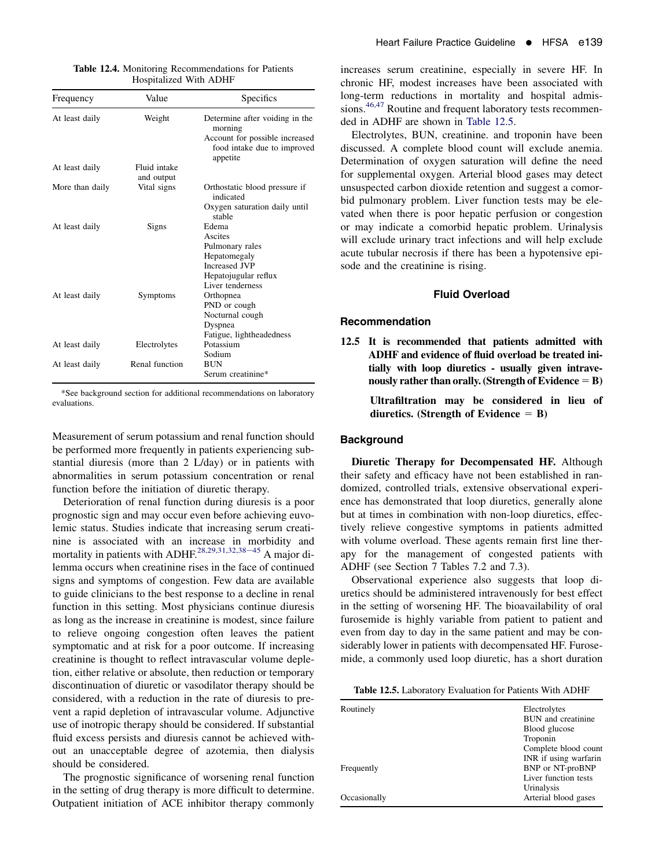| Frequency       | Value                      | Specifics                                                                 |
|-----------------|----------------------------|---------------------------------------------------------------------------|
| At least daily  | Weight                     | Determine after voiding in the<br>morning                                 |
|                 |                            | Account for possible increased<br>food intake due to improved<br>appetite |
| At least daily  | Fluid intake<br>and output |                                                                           |
| More than daily | Vital signs                | Orthostatic blood pressure if<br>indicated                                |
|                 |                            | Oxygen saturation daily until<br>stable                                   |
| At least daily  | Signs                      | Edema                                                                     |
|                 |                            | Ascites                                                                   |
|                 |                            | Pulmonary rales                                                           |
|                 |                            | Hepatomegaly                                                              |
|                 |                            | <b>Increased JVP</b>                                                      |
|                 |                            | Hepatojugular reflux                                                      |
|                 |                            | Liver tenderness                                                          |
| At least daily  | Symptoms                   | Orthopnea                                                                 |
|                 |                            | PND or cough                                                              |
|                 |                            | Nocturnal cough                                                           |
|                 |                            | Dyspnea                                                                   |
|                 |                            | Fatigue, lightheadedness                                                  |
| At least daily  | Electrolytes               | Potassium                                                                 |
|                 |                            | Sodium                                                                    |
| At least daily  | Renal function             | <b>BUN</b>                                                                |
|                 |                            | Serum creatinine*                                                         |

<span id="page-5-0"></span>Table 12.4. Monitoring Recommendations for Patients Hospitalized With ADHF

\*See background section for additional recommendations on laboratory evaluations.

Measurement of serum potassium and renal function should be performed more frequently in patients experiencing substantial diuresis (more than 2 L/day) or in patients with abnormalities in serum potassium concentration or renal function before the initiation of diuretic therapy.

Deterioration of renal function during diuresis is a poor prognostic sign and may occur even before achieving euvolemic status. Studies indicate that increasing serum creatinine is associated with an increase in morbidity and mortality in patients with ADHF.<sup>[28,29,31,32,38](#page-19-0)-45</sup> A major dilemma occurs when creatinine rises in the face of continued signs and symptoms of congestion. Few data are available to guide clinicians to the best response to a decline in renal function in this setting. Most physicians continue diuresis as long as the increase in creatinine is modest, since failure to relieve ongoing congestion often leaves the patient symptomatic and at risk for a poor outcome. If increasing creatinine is thought to reflect intravascular volume depletion, either relative or absolute, then reduction or temporary discontinuation of diuretic or vasodilator therapy should be considered, with a reduction in the rate of diuresis to prevent a rapid depletion of intravascular volume. Adjunctive use of inotropic therapy should be considered. If substantial fluid excess persists and diuresis cannot be achieved without an unacceptable degree of azotemia, then dialysis should be considered.

The prognostic significance of worsening renal function in the setting of drug therapy is more difficult to determine. Outpatient initiation of ACE inhibitor therapy commonly increases serum creatinine, especially in severe HF. In chronic HF, modest increases have been associated with long-term reductions in mortality and hospital admis-sions.<sup>[46,47](#page-19-0)</sup> Routine and frequent laboratory tests recommended in ADHF are shown in Table 12.5.

Electrolytes, BUN, creatinine. and troponin have been discussed. A complete blood count will exclude anemia. Determination of oxygen saturation will define the need for supplemental oxygen. Arterial blood gases may detect unsuspected carbon dioxide retention and suggest a comorbid pulmonary problem. Liver function tests may be elevated when there is poor hepatic perfusion or congestion or may indicate a comorbid hepatic problem. Urinalysis will exclude urinary tract infections and will help exclude acute tubular necrosis if there has been a hypotensive episode and the creatinine is rising.

### Fluid Overload

#### Recommendation

12.5 It is recommended that patients admitted with ADHF and evidence of fluid overload be treated initially with loop diuretics - usually given intravenously rather than orally. (Strength of Evidence  $=$  B)

> Ultrafiltration may be considered in lieu of diuretics. (Strength of Evidence  $=$  B)

## **Background**

Diuretic Therapy for Decompensated HF. Although their safety and efficacy have not been established in randomized, controlled trials, extensive observational experience has demonstrated that loop diuretics, generally alone but at times in combination with non-loop diuretics, effectively relieve congestive symptoms in patients admitted with volume overload. These agents remain first line therapy for the management of congested patients with ADHF (see Section 7 Tables 7.2 and 7.3).

Observational experience also suggests that loop diuretics should be administered intravenously for best effect in the setting of worsening HF. The bioavailability of oral furosemide is highly variable from patient to patient and even from day to day in the same patient and may be considerably lower in patients with decompensated HF. Furosemide, a commonly used loop diuretic, has a short duration

| <b>Table 12.5.</b> Laboratory Evaluation for Patients With ADHF |  |  |  |
|-----------------------------------------------------------------|--|--|--|
|-----------------------------------------------------------------|--|--|--|

| Routinely    | Electrolytes              |
|--------------|---------------------------|
|              | <b>BUN</b> and creatinine |
|              | Blood glucose             |
|              | Troponin                  |
|              | Complete blood count      |
|              | INR if using warfarin     |
| Frequently   | BNP or NT-proBNP          |
|              | Liver function tests      |
|              | Urinalysis                |
| Occasionally | Arterial blood gases      |
|              |                           |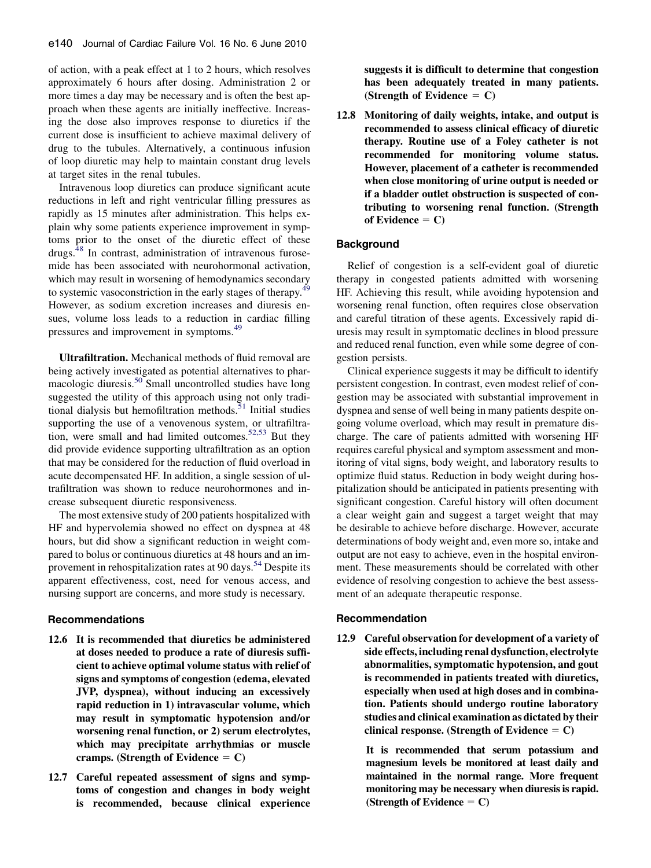of action, with a peak effect at 1 to 2 hours, which resolves approximately 6 hours after dosing. Administration 2 or more times a day may be necessary and is often the best approach when these agents are initially ineffective. Increasing the dose also improves response to diuretics if the current dose is insufficient to achieve maximal delivery of drug to the tubules. Alternatively, a continuous infusion of loop diuretic may help to maintain constant drug levels at target sites in the renal tubules.

Intravenous loop diuretics can produce significant acute reductions in left and right ventricular filling pressures as rapidly as 15 minutes after administration. This helps explain why some patients experience improvement in symptoms prior to the onset of the diuretic effect of these drugs.[48](#page-19-0) In contrast, administration of intravenous furosemide has been associated with neurohormonal activation, which may result in worsening of hemodynamics secondary to systemic vasoconstriction in the early stages of therapy.<sup>[49](#page-19-0)</sup> However, as sodium excretion increases and diuresis ensues, volume loss leads to a reduction in cardiac filling pressures and improvement in symptoms.[49](#page-19-0)

Ultrafiltration. Mechanical methods of fluid removal are being actively investigated as potential alternatives to phar-macologic diuresis.<sup>[50](#page-19-0)</sup> Small uncontrolled studies have long suggested the utility of this approach using not only traditional dialysis but hemofiltration methods. $51$  Initial studies supporting the use of a venovenous system, or ultrafiltra-tion, were small and had limited outcomes.<sup>[52,53](#page-19-0)</sup> But they did provide evidence supporting ultrafiltration as an option that may be considered for the reduction of fluid overload in acute decompensated HF. In addition, a single session of ultrafiltration was shown to reduce neurohormones and increase subsequent diuretic responsiveness.

The most extensive study of 200 patients hospitalized with HF and hypervolemia showed no effect on dyspnea at 48 hours, but did show a significant reduction in weight compared to bolus or continuous diuretics at 48 hours and an im-provement in rehospitalization rates at 90 days.<sup>[54](#page-19-0)</sup> Despite its apparent effectiveness, cost, need for venous access, and nursing support are concerns, and more study is necessary.

## Recommendations

- 12.6 It is recommended that diuretics be administered at doses needed to produce a rate of diuresis sufficient to achieve optimal volume status with relief of signs and symptoms of congestion (edema, elevated JVP, dyspnea), without inducing an excessively rapid reduction in 1) intravascular volume, which may result in symptomatic hypotension and/or worsening renal function, or 2) serum electrolytes, which may precipitate arrhythmias or muscle cramps. (Strength of Evidence  $= C$ )
- 12.7 Careful repeated assessment of signs and symptoms of congestion and changes in body weight is recommended, because clinical experience

suggests it is difficult to determine that congestion has been adequately treated in many patients. (Strength of Evidence  $= C$ )

12.8 Monitoring of daily weights, intake, and output is recommended to assess clinical efficacy of diuretic therapy. Routine use of a Foley catheter is not recommended for monitoring volume status. However, placement of a catheter is recommended when close monitoring of urine output is needed or if a bladder outlet obstruction is suspected of contributing to worsening renal function. (Strength of Evidence  $= C$ )

## Background

Relief of congestion is a self-evident goal of diuretic therapy in congested patients admitted with worsening HF. Achieving this result, while avoiding hypotension and worsening renal function, often requires close observation and careful titration of these agents. Excessively rapid diuresis may result in symptomatic declines in blood pressure and reduced renal function, even while some degree of congestion persists.

Clinical experience suggests it may be difficult to identify persistent congestion. In contrast, even modest relief of congestion may be associated with substantial improvement in dyspnea and sense of well being in many patients despite ongoing volume overload, which may result in premature discharge. The care of patients admitted with worsening HF requires careful physical and symptom assessment and monitoring of vital signs, body weight, and laboratory results to optimize fluid status. Reduction in body weight during hospitalization should be anticipated in patients presenting with significant congestion. Careful history will often document a clear weight gain and suggest a target weight that may be desirable to achieve before discharge. However, accurate determinations of body weight and, even more so, intake and output are not easy to achieve, even in the hospital environment. These measurements should be correlated with other evidence of resolving congestion to achieve the best assessment of an adequate therapeutic response.

### Recommendation

12.9 Careful observation for development of a variety of side effects, including renal dysfunction, electrolyte abnormalities, symptomatic hypotension, and gout is recommended in patients treated with diuretics, especially when used at high doses and in combination. Patients should undergo routine laboratory studies and clinical examination as dictated by their clinical response. (Strength of Evidence  $= C$ )

> It is recommended that serum potassium and magnesium levels be monitored at least daily and maintained in the normal range. More frequent monitoring may be necessary when diuresis is rapid. (Strength of Evidence  $= C$ )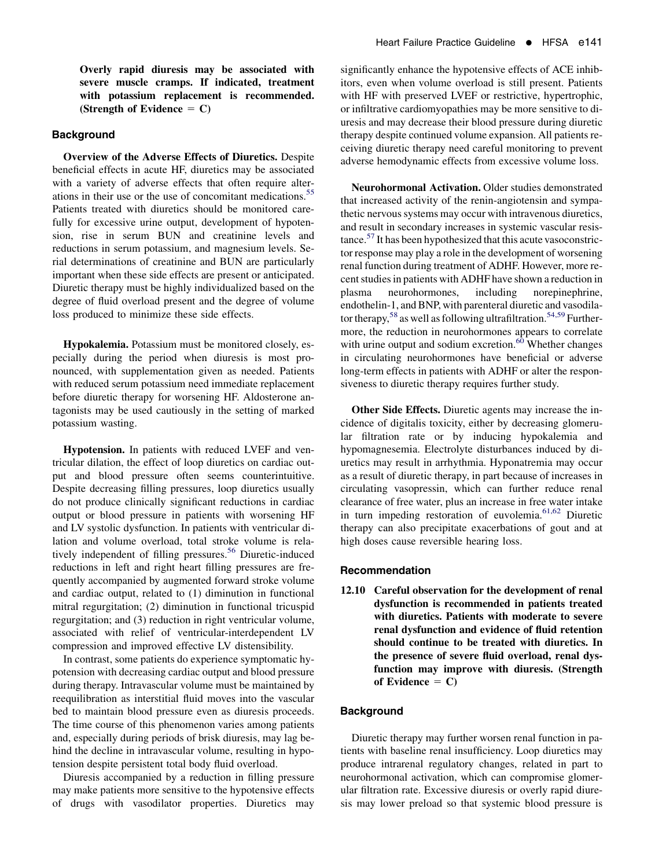Overly rapid diuresis may be associated with severe muscle cramps. If indicated, treatment with potassium replacement is recommended. (Strength of Evidence  $= C$ )

### **Background**

Overview of the Adverse Effects of Diuretics. Despite beneficial effects in acute HF, diuretics may be associated with a variety of adverse effects that often require alter-ations in their use or the use of concomitant medications.<sup>[55](#page-19-0)</sup> Patients treated with diuretics should be monitored carefully for excessive urine output, development of hypotension, rise in serum BUN and creatinine levels and reductions in serum potassium, and magnesium levels. Serial determinations of creatinine and BUN are particularly important when these side effects are present or anticipated. Diuretic therapy must be highly individualized based on the degree of fluid overload present and the degree of volume loss produced to minimize these side effects.

Hypokalemia. Potassium must be monitored closely, especially during the period when diuresis is most pronounced, with supplementation given as needed. Patients with reduced serum potassium need immediate replacement before diuretic therapy for worsening HF. Aldosterone antagonists may be used cautiously in the setting of marked potassium wasting.

Hypotension. In patients with reduced LVEF and ventricular dilation, the effect of loop diuretics on cardiac output and blood pressure often seems counterintuitive. Despite decreasing filling pressures, loop diuretics usually do not produce clinically significant reductions in cardiac output or blood pressure in patients with worsening HF and LV systolic dysfunction. In patients with ventricular dilation and volume overload, total stroke volume is rela-tively independent of filling pressures.<sup>[56](#page-19-0)</sup> Diuretic-induced reductions in left and right heart filling pressures are frequently accompanied by augmented forward stroke volume and cardiac output, related to (1) diminution in functional mitral regurgitation; (2) diminution in functional tricuspid regurgitation; and (3) reduction in right ventricular volume, associated with relief of ventricular-interdependent LV compression and improved effective LV distensibility.

In contrast, some patients do experience symptomatic hypotension with decreasing cardiac output and blood pressure during therapy. Intravascular volume must be maintained by reequilibration as interstitial fluid moves into the vascular bed to maintain blood pressure even as diuresis proceeds. The time course of this phenomenon varies among patients and, especially during periods of brisk diuresis, may lag behind the decline in intravascular volume, resulting in hypotension despite persistent total body fluid overload.

Diuresis accompanied by a reduction in filling pressure may make patients more sensitive to the hypotensive effects of drugs with vasodilator properties. Diuretics may significantly enhance the hypotensive effects of ACE inhibitors, even when volume overload is still present. Patients with HF with preserved LVEF or restrictive, hypertrophic, or infiltrative cardiomyopathies may be more sensitive to diuresis and may decrease their blood pressure during diuretic therapy despite continued volume expansion. All patients receiving diuretic therapy need careful monitoring to prevent adverse hemodynamic effects from excessive volume loss.

Neurohormonal Activation. Older studies demonstrated that increased activity of the renin-angiotensin and sympathetic nervous systems may occur with intravenous diuretics, and result in secondary increases in systemic vascular resistance.[57](#page-19-0) It has been hypothesized that this acute vasoconstrictor response may play a role in the development of worsening renal function during treatment of ADHF. However, more recent studies in patients with ADHF have shown a reduction in plasma neurohormones, including norepinephrine, endothelin-1, and BNP, with parenteral diuretic and vasodila-tor therapy,<sup>[58](#page-19-0)</sup> as well as following ultrafiltration.<sup>[54,59](#page-19-0)</sup> Furthermore, the reduction in neurohormones appears to correlate with urine output and sodium excretion. $60$  Whether changes in circulating neurohormones have beneficial or adverse long-term effects in patients with ADHF or alter the responsiveness to diuretic therapy requires further study.

Other Side Effects. Diuretic agents may increase the incidence of digitalis toxicity, either by decreasing glomerular filtration rate or by inducing hypokalemia and hypomagnesemia. Electrolyte disturbances induced by diuretics may result in arrhythmia. Hyponatremia may occur as a result of diuretic therapy, in part because of increases in circulating vasopressin, which can further reduce renal clearance of free water, plus an increase in free water intake in turn impeding restoration of euvolemia.<sup>[61,62](#page-20-0)</sup> Diuretic therapy can also precipitate exacerbations of gout and at high doses cause reversible hearing loss.

### Recommendation

12.10 Careful observation for the development of renal dysfunction is recommended in patients treated with diuretics. Patients with moderate to severe renal dysfunction and evidence of fluid retention should continue to be treated with diuretics. In the presence of severe fluid overload, renal dysfunction may improve with diuresis. (Strength of Evidence  $= C$ )

## **Background**

Diuretic therapy may further worsen renal function in patients with baseline renal insufficiency. Loop diuretics may produce intrarenal regulatory changes, related in part to neurohormonal activation, which can compromise glomerular filtration rate. Excessive diuresis or overly rapid diuresis may lower preload so that systemic blood pressure is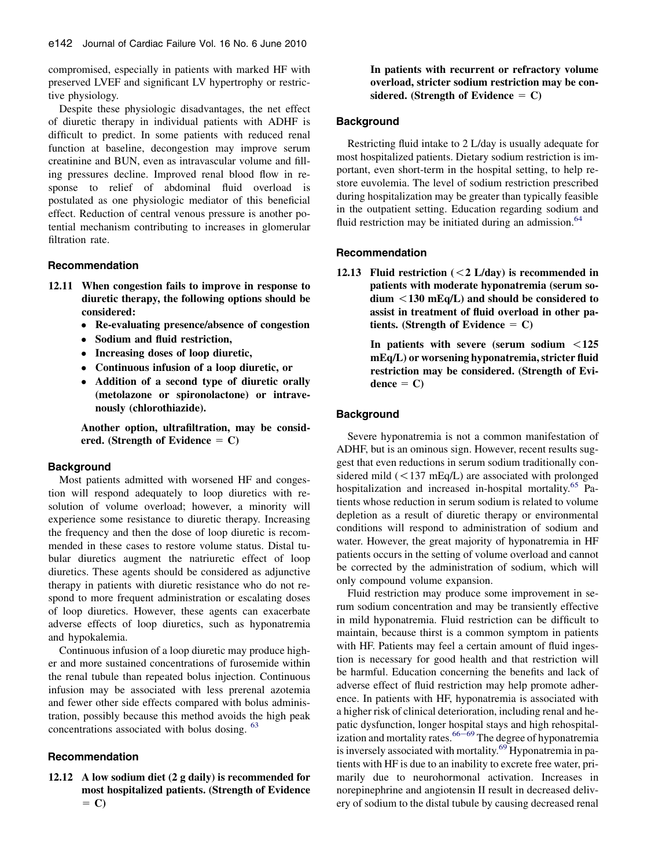compromised, especially in patients with marked HF with preserved LVEF and significant LV hypertrophy or restrictive physiology.

Despite these physiologic disadvantages, the net effect of diuretic therapy in individual patients with ADHF is difficult to predict. In some patients with reduced renal function at baseline, decongestion may improve serum creatinine and BUN, even as intravascular volume and filling pressures decline. Improved renal blood flow in response to relief of abdominal fluid overload is postulated as one physiologic mediator of this beneficial effect. Reduction of central venous pressure is another potential mechanism contributing to increases in glomerular filtration rate.

## Recommendation

- 12.11 When congestion fails to improve in response to diuretic therapy, the following options should be considered:
	- Re-evaluating presence/absence of congestion
	- Sodium and fluid restriction,
	- Increasing doses of loop diuretic,
	- Continuous infusion of a loop diuretic, or
	- Addition of a second type of diuretic orally (metolazone or spironolactone) or intravenously (chlorothiazide).

Another option, ultrafiltration, may be considered. (Strength of Evidence  $= C$ )

### **Background**

Most patients admitted with worsened HF and congestion will respond adequately to loop diuretics with resolution of volume overload; however, a minority will experience some resistance to diuretic therapy. Increasing the frequency and then the dose of loop diuretic is recommended in these cases to restore volume status. Distal tubular diuretics augment the natriuretic effect of loop diuretics. These agents should be considered as adjunctive therapy in patients with diuretic resistance who do not respond to more frequent administration or escalating doses of loop diuretics. However, these agents can exacerbate adverse effects of loop diuretics, such as hyponatremia and hypokalemia.

Continuous infusion of a loop diuretic may produce higher and more sustained concentrations of furosemide within the renal tubule than repeated bolus injection. Continuous infusion may be associated with less prerenal azotemia and fewer other side effects compared with bolus administration, possibly because this method avoids the high peak concentrations associated with bolus dosing. [63](#page-20-0)

### Recommendation

12.12 A low sodium diet (2 g daily) is recommended for most hospitalized patients. (Strength of Evidence  $= C$ 

## In patients with recurrent or refractory volume overload, stricter sodium restriction may be considered. (Strength of Evidence  $= C$ )

### **Background**

Restricting fluid intake to 2 L/day is usually adequate for most hospitalized patients. Dietary sodium restriction is important, even short-term in the hospital setting, to help restore euvolemia. The level of sodium restriction prescribed during hospitalization may be greater than typically feasible in the outpatient setting. Education regarding sodium and fluid restriction may be initiated during an admission. $64$ 

## Recommendation

12.13 Fluid restriction  $(< 2$  L/day) is recommended in patients with moderate hyponatremia (serum so- $\dim$  <130 mEq/L) and should be considered to assist in treatment of fluid overload in other patients. (Strength of Evidence  $= C$ )

> In patients with severe (serum sodium  $\langle 125 \rangle$ mEq/L) or worsening hyponatremia, stricter fluid restriction may be considered. (Strength of Evi $dence = C$

## **Background**

Severe hyponatremia is not a common manifestation of ADHF, but is an ominous sign. However, recent results suggest that even reductions in serum sodium traditionally considered mild  $(< 137$  mEq/L) are associated with prolonged hospitalization and increased in-hospital mortality.<sup>[65](#page-20-0)</sup> Patients whose reduction in serum sodium is related to volume depletion as a result of diuretic therapy or environmental conditions will respond to administration of sodium and water. However, the great majority of hyponatremia in HF patients occurs in the setting of volume overload and cannot be corrected by the administration of sodium, which will only compound volume expansion.

Fluid restriction may produce some improvement in serum sodium concentration and may be transiently effective in mild hyponatremia. Fluid restriction can be difficult to maintain, because thirst is a common symptom in patients with HF. Patients may feel a certain amount of fluid ingestion is necessary for good health and that restriction will be harmful. Education concerning the benefits and lack of adverse effect of fluid restriction may help promote adherence. In patients with HF, hyponatremia is associated with a higher risk of clinical deterioration, including renal and hepatic dysfunction, longer [hospit](#page-20-0)al stays and high rehospitalization and mortality rates.  $66-69$  The degree of hyponatremia is inversely associated with mortality.<sup>[69](#page-20-0)</sup> Hyponatremia in patients with HF is due to an inability to excrete free water, primarily due to neurohormonal activation. Increases in norepinephrine and angiotensin II result in decreased delivery of sodium to the distal tubule by causing decreased renal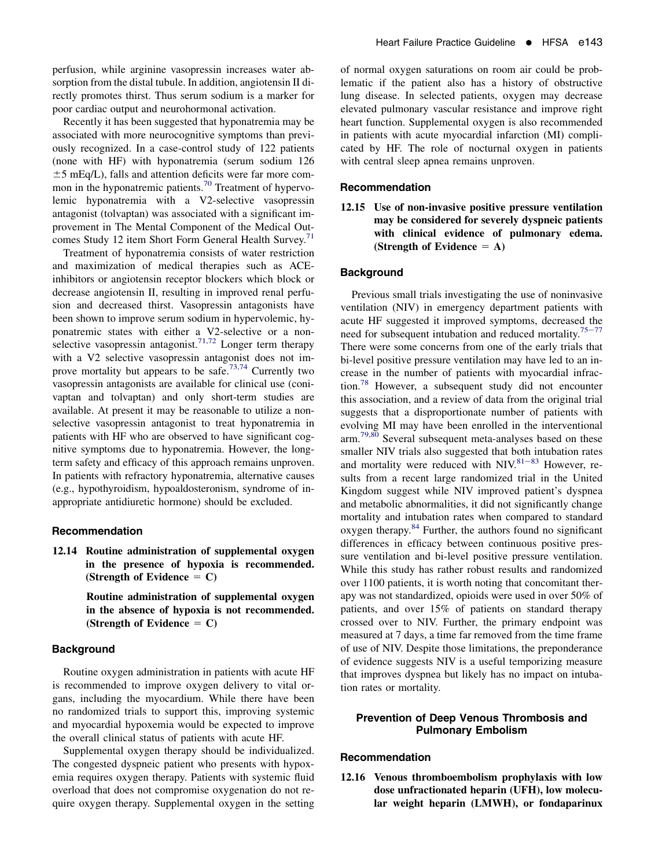perfusion, while arginine vasopressin increases water absorption from the distal tubule. In addition, angiotensin II directly promotes thirst. Thus serum sodium is a marker for poor cardiac output and neurohormonal activation.

Recently it has been suggested that hyponatremia may be associated with more neurocognitive symptoms than previously recognized. In a case-control study of 122 patients (none with HF) with hyponatremia (serum sodium 126  $\pm$  5 mEq/L), falls and attention deficits were far more com-mon in the hyponatremic patients.<sup>[70](#page-20-0)</sup> Treatment of hypervolemic hyponatremia with a V2-selective vasopressin antagonist (tolvaptan) was associated with a significant improvement in The Mental Component of the Medical Outcomes Study 12 item Short Form General Health Survey.<sup>71</sup>

Treatment of hyponatremia consists of water restriction and maximization of medical therapies such as ACEinhibitors or angiotensin receptor blockers which block or decrease angiotensin II, resulting in improved renal perfusion and decreased thirst. Vasopressin antagonists have been shown to improve serum sodium in hypervolemic, hyponatremic states with either a V2-selective or a non-selective vasopressin antagonist.<sup>[71,72](#page-20-0)</sup> Longer term therapy with a V2 selective vasopressin antagonist does not im-prove mortality but appears to be safe.<sup>[73,74](#page-20-0)</sup> Currently two vasopressin antagonists are available for clinical use (conivaptan and tolvaptan) and only short-term studies are available. At present it may be reasonable to utilize a nonselective vasopressin antagonist to treat hyponatremia in patients with HF who are observed to have significant cognitive symptoms due to hyponatremia. However, the longterm safety and efficacy of this approach remains unproven. In patients with refractory hyponatremia, alternative causes (e.g., hypothyroidism, hypoaldosteronism, syndrome of inappropriate antidiuretic hormone) should be excluded.

### Recommendation

12.14 Routine administration of supplemental oxygen in the presence of hypoxia is recommended. (Strength of Evidence  $= C$ )

> Routine administration of supplemental oxygen in the absence of hypoxia is not recommended. (Strength of Evidence  $= C$ )

## **Background**

Routine oxygen administration in patients with acute HF is recommended to improve oxygen delivery to vital organs, including the myocardium. While there have been no randomized trials to support this, improving systemic and myocardial hypoxemia would be expected to improve the overall clinical status of patients with acute HF.

Supplemental oxygen therapy should be individualized. The congested dyspneic patient who presents with hypoxemia requires oxygen therapy. Patients with systemic fluid overload that does not compromise oxygenation do not require oxygen therapy. Supplemental oxygen in the setting

of normal oxygen saturations on room air could be problematic if the patient also has a history of obstructive lung disease. In selected patients, oxygen may decrease elevated pulmonary vascular resistance and improve right heart function. Supplemental oxygen is also recommended in patients with acute myocardial infarction (MI) complicated by HF. The role of nocturnal oxygen in patients with central sleep apnea remains unproven.

### Recommendation

## 12.15 Use of non-invasive positive pressure ventilation may be considered for severely dyspneic patients with clinical evidence of pulmonary edema. (Strength of Evidence  $= A$ )

#### **Background**

Previous small trials investigating the use of noninvasive ventilation (NIV) in emergency department patients with acute HF suggested it improved symptoms, decreased the need for subsequent intubation and reduced mortality.<sup>[75](#page-20-0)–77</sup> There were some concerns from one of the early trials that bi-level positive pressure ventilation may have led to an increase in the number of patients with myocardial infraction.[78](#page-20-0) However, a subsequent study did not encounter this association, and a review of data from the original trial suggests that a disproportionate number of patients with evolving MI may have been enrolled in the interventional arm.<sup>[79,80](#page-20-0)</sup> Several subsequent meta-analyses based on these smaller NIV trials also suggested that [both in](#page-20-0)tubation rates and mortality were reduced with  $NIV.<sup>81-83</sup>$  However, results from a recent large randomized trial in the United Kingdom suggest while NIV improved patient's dyspnea and metabolic abnormalities, it did not significantly change mortality and intubation rates when compared to standard oxygen therapy.<sup>[84](#page-20-0)</sup> Further, the authors found no significant differences in efficacy between continuous positive pressure ventilation and bi-level positive pressure ventilation. While this study has rather robust results and randomized over 1100 patients, it is worth noting that concomitant therapy was not standardized, opioids were used in over 50% of patients, and over 15% of patients on standard therapy crossed over to NIV. Further, the primary endpoint was measured at 7 days, a time far removed from the time frame of use of NIV. Despite those limitations, the preponderance of evidence suggests NIV is a useful temporizing measure that improves dyspnea but likely has no impact on intubation rates or mortality.

## Prevention of Deep Venous Thrombosis and Pulmonary Embolism

### Recommendation

12.16 Venous thromboembolism prophylaxis with low dose unfractionated heparin (UFH), low molecular weight heparin (LMWH), or fondaparinux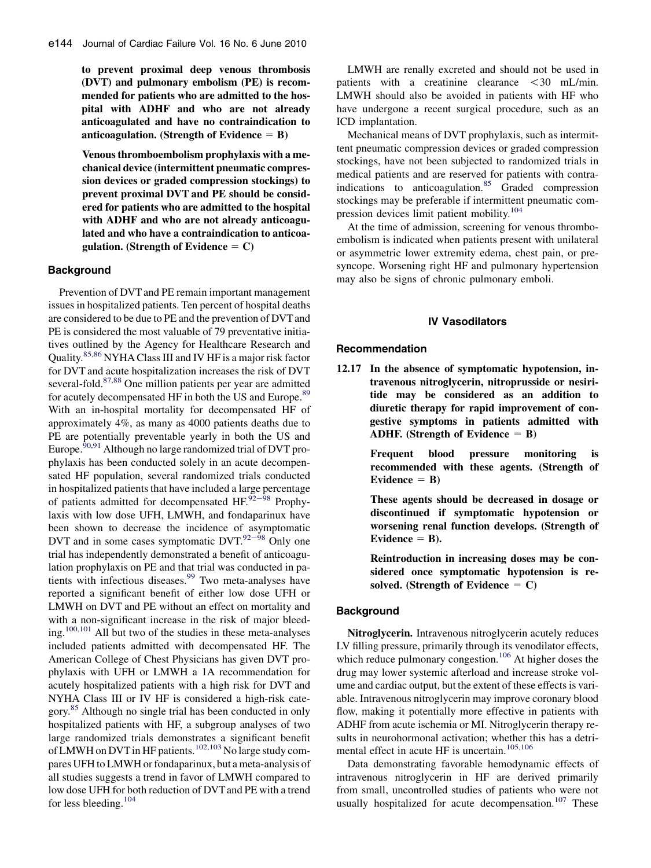to prevent proximal deep venous thrombosis (DVT) and pulmonary embolism (PE) is recommended for patients who are admitted to the hospital with ADHF and who are not already anticoagulated and have no contraindication to anticoagulation. (Strength of Evidence  $=$  B)

Venous thromboembolism prophylaxis with a mechanical device (intermittent pneumatic compression devices or graded compression stockings) to prevent proximal DVT and PE should be considered for patients who are admitted to the hospital with ADHF and who are not already anticoagulated and who have a contraindication to anticoagulation. (Strength of Evidence  $= C$ )

## **Background**

Prevention of DVT and PE remain important management issues in hospitalized patients. Ten percent of hospital deaths are considered to be due to PE and the prevention of DVTand PE is considered the most valuable of 79 preventative initiatives outlined by the Agency for Healthcare Research and Quality.[85,86](#page-20-0) NYHA Class III and IV HF is a major risk factor for DVT and acute hospitalization increases the risk of DVT several-fold.<sup>[87,88](#page-20-0)</sup> One million patients per year are admitted for acutely decompensated HF in both the US and Europe.<sup>[89](#page-20-0)</sup> With an in-hospital mortality for decompensated HF of approximately 4%, as many as 4000 patients deaths due to PE are potentially preventable yearly in both the US and Europe.<sup>[90,91](#page-20-0)</sup> Although no large randomized trial of DVT prophylaxis has been conducted solely in an acute decompensated HF population, several randomized trials conducted in hospitalized patients that have included a large percentage of patients admitted for decompensated HF. $92-98$  $92-98$  Prophylaxis with low dose UFH, LMWH, and fondaparinux have been shown to decrease the incidence of asymptomatic DVT and in some cases symptomatic DVT. $92-98$  $92-98$  Only one trial has independently demonstrated a benefit of anticoagulation prophylaxis on PE and that trial was conducted in pa-tients with infectious diseases.<sup>[99](#page-21-0)</sup> Two meta-analyses have reported a significant benefit of either low dose UFH or LMWH on DVT and PE without an effect on mortality and with a non-significant increase in the risk of major bleeding.[100,101](#page-21-0) All but two of the studies in these meta-analyses included patients admitted with decompensated HF. The American College of Chest Physicians has given DVT prophylaxis with UFH or LMWH a 1A recommendation for acutely hospitalized patients with a high risk for DVT and NYHA Class III or IV HF is considered a high-risk category.[85](#page-20-0) Although no single trial has been conducted in only hospitalized patients with HF, a subgroup analyses of two large randomized trials demonstrates a significant benefit of LMWH on DVT in HF patients.<sup>[102,103](#page-21-0)</sup> No large study compares UFH to LMWH or fondaparinux, but a meta-analysis of all studies suggests a trend in favor of LMWH compared to low dose UFH for both reduction of DVT and PE with a trend for less bleeding.[104](#page-21-0)

LMWH are renally excreted and should not be used in patients with a creatinine clearance  $\langle 30 \rangle$  mL/min. LMWH should also be avoided in patients with HF who have undergone a recent surgical procedure, such as an ICD implantation.

Mechanical means of DVT prophylaxis, such as intermittent pneumatic compression devices or graded compression stockings, have not been subjected to randomized trials in medical patients and are reserved for patients with contraindications to anticoagulation. $85$  Graded compression stockings may be preferable if intermittent pneumatic com-pression devices limit patient mobility.<sup>[104](#page-21-0)</sup>

At the time of admission, screening for venous thromboembolism is indicated when patients present with unilateral or asymmetric lower extremity edema, chest pain, or presyncope. Worsening right HF and pulmonary hypertension may also be signs of chronic pulmonary emboli.

## IV Vasodilators

#### Recommendation

12.17 In the absence of symptomatic hypotension, intravenous nitroglycerin, nitroprusside or nesiritide may be considered as an addition to diuretic therapy for rapid improvement of congestive symptoms in patients admitted with ADHF. (Strength of Evidence  $=$  B)

> Frequent blood pressure monitoring is recommended with these agents. (Strength of Evidence  $=$  B)

> These agents should be decreased in dosage or discontinued if symptomatic hypotension or worsening renal function develops. (Strength of Evidence  $=$  B).

> Reintroduction in increasing doses may be considered once symptomatic hypotension is resolved. (Strength of Evidence  $= C$ )

### **Background**

Nitroglycerin. Intravenous nitroglycerin acutely reduces LV filling pressure, primarily through its venodilator effects, which reduce pulmonary congestion.<sup>[106](#page-21-0)</sup> At higher doses the drug may lower systemic afterload and increase stroke volume and cardiac output, but the extent of these effects is variable. Intravenous nitroglycerin may improve coronary blood flow, making it potentially more effective in patients with ADHF from acute ischemia or MI. Nitroglycerin therapy results in neurohormonal activation; whether this has a detri-mental effect in acute HF is uncertain.<sup>[105,106](#page-21-0)</sup>

Data demonstrating favorable hemodynamic effects of intravenous nitroglycerin in HF are derived primarily from small, uncontrolled studies of patients who were not usually hospitalized for acute decompensation.<sup>[107](#page-21-0)</sup> These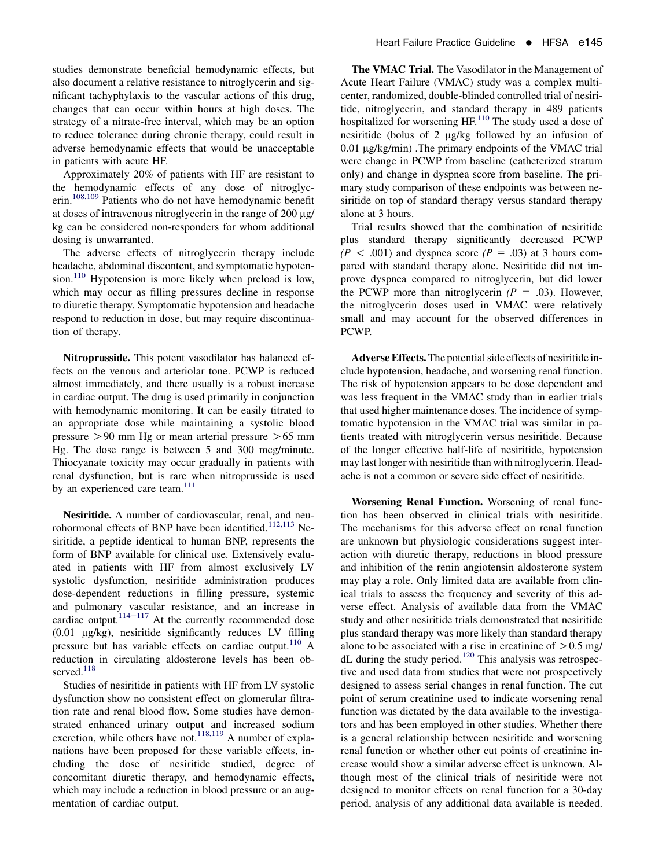studies demonstrate beneficial hemodynamic effects, but also document a relative resistance to nitroglycerin and significant tachyphylaxis to the vascular actions of this drug, changes that can occur within hours at high doses. The strategy of a nitrate-free interval, which may be an option to reduce tolerance during chronic therapy, could result in adverse hemodynamic effects that would be unacceptable in patients with acute HF.

Approximately 20% of patients with HF are resistant to the hemodynamic effects of any dose of nitroglyc-erin.<sup>[108,109](#page-21-0)</sup> Patients who do not have hemodynamic benefit at doses of intravenous nitroglycerin in the range of  $200 \mu$ g/ kg can be considered non-responders for whom additional dosing is unwarranted.

The adverse effects of nitroglycerin therapy include headache, abdominal discontent, and symptomatic hypoten $s$ ion.<sup>[110](#page-21-0)</sup> Hypotension is more likely when preload is low, which may occur as filling pressures decline in response to diuretic therapy. Symptomatic hypotension and headache respond to reduction in dose, but may require discontinuation of therapy.

Nitroprusside. This potent vasodilator has balanced effects on the venous and arteriolar tone. PCWP is reduced almost immediately, and there usually is a robust increase in cardiac output. The drug is used primarily in conjunction with hemodynamic monitoring. It can be easily titrated to an appropriate dose while maintaining a systolic blood pressure  $>90$  mm Hg or mean arterial pressure  $>65$  mm Hg. The dose range is between 5 and 300 mcg/minute. Thiocyanate toxicity may occur gradually in patients with renal dysfunction, but is rare when nitroprusside is used by an experienced care team.<sup>[111](#page-21-0)</sup>

Nesiritide. A number of cardiovascular, renal, and neurohormonal effects of BNP have been identified. $112,113$  Nesiritide, a peptide identical to human BNP, represents the form of BNP available for clinical use. Extensively evaluated in patients with HF from almost exclusively LV systolic dysfunction, nesiritide administration produces dose-dependent reductions in filling pressure, systemic and pulmonary vascular resistance, and an increase in cardiac output.<sup>114–117</sup> At the currently recommended dose  $(0.01 \mu g/kg)$ , nesiritide significantly reduces LV filling pressure but has variable effects on cardiac output.<sup>[110](#page-21-0)</sup> A reduction in circulating aldosterone levels has been observed.<sup>118</sup>

Studies of nesiritide in patients with HF from LV systolic dysfunction show no consistent effect on glomerular filtration rate and renal blood flow. Some studies have demonstrated enhanced urinary output and increased sodium excretion, while others have not.<sup>[118,119](#page-21-0)</sup> A number of explanations have been proposed for these variable effects, including the dose of nesiritide studied, degree of concomitant diuretic therapy, and hemodynamic effects, which may include a reduction in blood pressure or an augmentation of cardiac output.

The VMAC Trial. The Vasodilator in the Management of Acute Heart Failure (VMAC) study was a complex multicenter, randomized, double-blinded controlled trial of nesiritide, nitroglycerin, and standard therapy in 489 patients hospitalized for worsening HF.<sup>[110](#page-21-0)</sup> The study used a dose of nesiritide (bolus of  $2 \mu g/kg$  followed by an infusion of  $0.01 \mu g/kg/min$ ). The primary endpoints of the VMAC trial were change in PCWP from baseline (catheterized stratum only) and change in dyspnea score from baseline. The primary study comparison of these endpoints was between nesiritide on top of standard therapy versus standard therapy alone at 3 hours.

Trial results showed that the combination of nesiritide plus standard therapy significantly decreased PCWP  $(P < .001)$  and dyspnea score  $(P = .03)$  at 3 hours compared with standard therapy alone. Nesiritide did not improve dyspnea compared to nitroglycerin, but did lower the PCWP more than nitroglycerin  $(P = .03)$ . However, the nitroglycerin doses used in VMAC were relatively small and may account for the observed differences in PCWP.

Adverse Effects. The potential side effects of nesiritide include hypotension, headache, and worsening renal function. The risk of hypotension appears to be dose dependent and was less frequent in the VMAC study than in earlier trials that used higher maintenance doses. The incidence of symptomatic hypotension in the VMAC trial was similar in patients treated with nitroglycerin versus nesiritide. Because of the longer effective half-life of nesiritide, hypotension may last longer with nesiritide than with nitroglycerin. Headache is not a common or severe side effect of nesiritide.

Worsening Renal Function. Worsening of renal function has been observed in clinical trials with nesiritide. The mechanisms for this adverse effect on renal function are unknown but physiologic considerations suggest interaction with diuretic therapy, reductions in blood pressure and inhibition of the renin angiotensin aldosterone system may play a role. Only limited data are available from clinical trials to assess the frequency and severity of this adverse effect. Analysis of available data from the VMAC study and other nesiritide trials demonstrated that nesiritide plus standard therapy was more likely than standard therapy alone to be associated with a rise in creatinine of  $> 0.5$  mg/  $dL$  during the study period.<sup>[120](#page-21-0)</sup> This analysis was retrospective and used data from studies that were not prospectively designed to assess serial changes in renal function. The cut point of serum creatinine used to indicate worsening renal function was dictated by the data available to the investigators and has been employed in other studies. Whether there is a general relationship between nesiritide and worsening renal function or whether other cut points of creatinine increase would show a similar adverse effect is unknown. Although most of the clinical trials of nesiritide were not designed to monitor effects on renal function for a 30-day period, analysis of any additional data available is needed.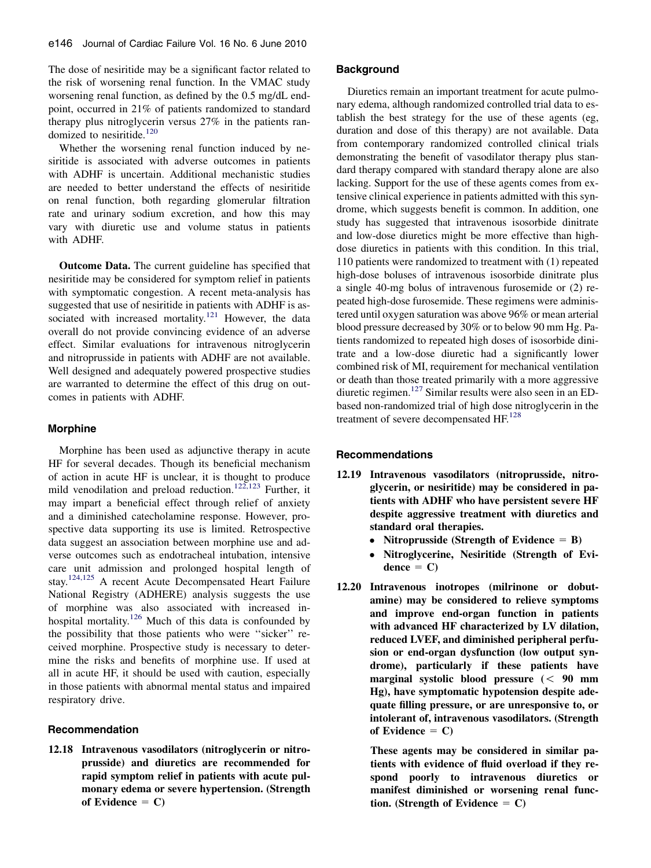The dose of nesiritide may be a significant factor related to the risk of worsening renal function. In the VMAC study worsening renal function, as defined by the 0.5 mg/dL endpoint, occurred in 21% of patients randomized to standard therapy plus nitroglycerin versus 27% in the patients ran-domized to nesiritide.<sup>[120](#page-21-0)</sup>

Whether the worsening renal function induced by nesiritide is associated with adverse outcomes in patients with ADHF is uncertain. Additional mechanistic studies are needed to better understand the effects of nesiritide on renal function, both regarding glomerular filtration rate and urinary sodium excretion, and how this may vary with diuretic use and volume status in patients with ADHF.

Outcome Data. The current guideline has specified that nesiritide may be considered for symptom relief in patients with symptomatic congestion. A recent meta-analysis has suggested that use of nesiritide in patients with ADHF is as-sociated with increased mortality.<sup>[121](#page-21-0)</sup> However, the data overall do not provide convincing evidence of an adverse effect. Similar evaluations for intravenous nitroglycerin and nitroprusside in patients with ADHF are not available. Well designed and adequately powered prospective studies are warranted to determine the effect of this drug on outcomes in patients with ADHF.

## Morphine

Morphine has been used as adjunctive therapy in acute HF for several decades. Though its beneficial mechanism of action in acute HF is unclear, it is thought to produce mild venodilation and preload reduction.<sup>[122,123](#page-21-0)</sup> Further, it may impart a beneficial effect through relief of anxiety and a diminished catecholamine response. However, prospective data supporting its use is limited. Retrospective data suggest an association between morphine use and adverse outcomes such as endotracheal intubation, intensive care unit admission and prolonged hospital length of stay.[124,125](#page-21-0) A recent Acute Decompensated Heart Failure National Registry (ADHERE) analysis suggests the use of morphine was also associated with increased in-hospital mortality.<sup>[126](#page-21-0)</sup> Much of this data is confounded by the possibility that those patients who were ''sicker'' received morphine. Prospective study is necessary to determine the risks and benefits of morphine use. If used at all in acute HF, it should be used with caution, especially in those patients with abnormal mental status and impaired respiratory drive.

## Recommendation

12.18 Intravenous vasodilators (nitroglycerin or nitroprusside) and diuretics are recommended for rapid symptom relief in patients with acute pulmonary edema or severe hypertension. (Strength of Evidence  $= C$ )

## **Background**

Diuretics remain an important treatment for acute pulmonary edema, although randomized controlled trial data to establish the best strategy for the use of these agents (eg, duration and dose of this therapy) are not available. Data from contemporary randomized controlled clinical trials demonstrating the benefit of vasodilator therapy plus standard therapy compared with standard therapy alone are also lacking. Support for the use of these agents comes from extensive clinical experience in patients admitted with this syndrome, which suggests benefit is common. In addition, one study has suggested that intravenous isosorbide dinitrate and low-dose diuretics might be more effective than highdose diuretics in patients with this condition. In this trial, 110 patients were randomized to treatment with (1) repeated high-dose boluses of intravenous isosorbide dinitrate plus a single 40-mg bolus of intravenous furosemide or (2) repeated high-dose furosemide. These regimens were administered until oxygen saturation was above 96% or mean arterial blood pressure decreased by 30% or to below 90 mm Hg. Patients randomized to repeated high doses of isosorbide dinitrate and a low-dose diuretic had a significantly lower combined risk of MI, requirement for mechanical ventilation or death than those treated primarily with a more aggressive diuretic regimen.[127](#page-21-0) Similar results were also seen in an EDbased non-randomized trial of high dose nitroglycerin in the treatment of severe decompensated HF.<sup>128</sup>

### Recommendations

- 12.19 Intravenous vasodilators (nitroprusside, nitroglycerin, or nesiritide) may be considered in patients with ADHF who have persistent severe HF despite aggressive treatment with diuretics and standard oral therapies.
	- Nitroprusside (Strength of Evidence  $=$  B)
	- $\bullet$  Nitroglycerine, Nesiritide (Strength of Evidence  $= C$ )
- 12.20 Intravenous inotropes (milrinone or dobutamine) may be considered to relieve symptoms and improve end-organ function in patients with advanced HF characterized by LV dilation, reduced LVEF, and diminished peripheral perfusion or end-organ dysfunction (low output syndrome), particularly if these patients have marginal systolic blood pressure  $\langle \, 90 \rangle$  mm Hg), have symptomatic hypotension despite adequate filling pressure, or are unresponsive to, or intolerant of, intravenous vasodilators. (Strength of Evidence  $= C$ )

These agents may be considered in similar patients with evidence of fluid overload if they respond poorly to intravenous diuretics or manifest diminished or worsening renal function. (Strength of Evidence  $= C$ )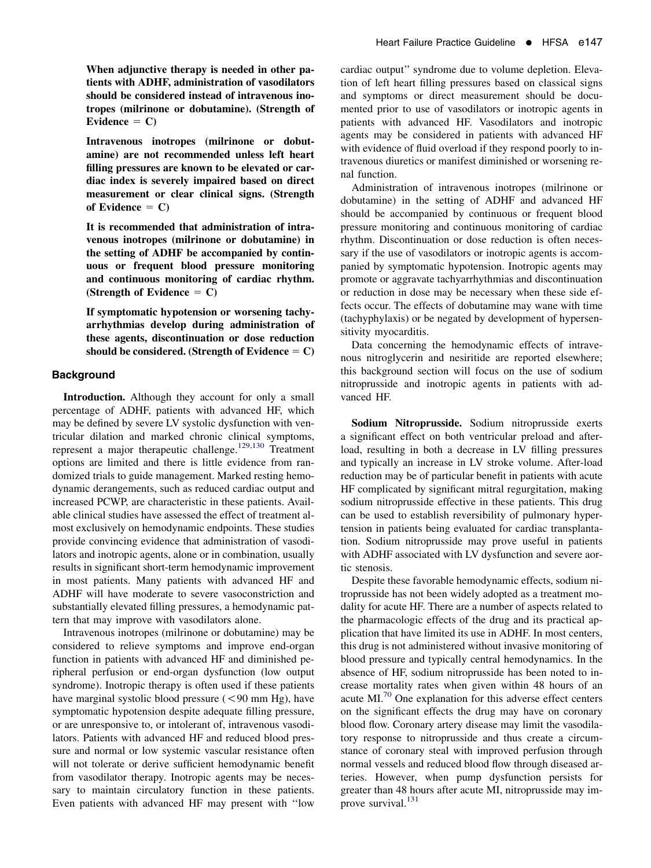When adjunctive therapy is needed in other patients with ADHF, administration of vasodilators should be considered instead of intravenous inotropes (milrinone or dobutamine). (Strength of Evidence  $= C$ )

Intravenous inotropes (milrinone or dobutamine) are not recommended unless left heart filling pressures are known to be elevated or cardiac index is severely impaired based on direct measurement or clear clinical signs. (Strength of Evidence  $= C$ )

It is recommended that administration of intravenous inotropes (milrinone or dobutamine) in the setting of ADHF be accompanied by continuous or frequent blood pressure monitoring and continuous monitoring of cardiac rhythm. (Strength of Evidence  $= C$ )

If symptomatic hypotension or worsening tachyarrhythmias develop during administration of these agents, discontinuation or dose reduction should be considered. (Strength of Evidence  $= C$ )

### **Background**

Introduction. Although they account for only a small percentage of ADHF, patients with advanced HF, which may be defined by severe LV systolic dysfunction with ventricular dilation and marked chronic clinical symptoms, represent a major therapeutic challenge.<sup>[129,130](#page-22-0)</sup> Treatment options are limited and there is little evidence from randomized trials to guide management. Marked resting hemodynamic derangements, such as reduced cardiac output and increased PCWP, are characteristic in these patients. Available clinical studies have assessed the effect of treatment almost exclusively on hemodynamic endpoints. These studies provide convincing evidence that administration of vasodilators and inotropic agents, alone or in combination, usually results in significant short-term hemodynamic improvement in most patients. Many patients with advanced HF and ADHF will have moderate to severe vasoconstriction and substantially elevated filling pressures, a hemodynamic pattern that may improve with vasodilators alone.

Intravenous inotropes (milrinone or dobutamine) may be considered to relieve symptoms and improve end-organ function in patients with advanced HF and diminished peripheral perfusion or end-organ dysfunction (low output syndrome). Inotropic therapy is often used if these patients have marginal systolic blood pressure  $(< 90$  mm Hg), have symptomatic hypotension despite adequate filling pressure, or are unresponsive to, or intolerant of, intravenous vasodilators. Patients with advanced HF and reduced blood pressure and normal or low systemic vascular resistance often will not tolerate or derive sufficient hemodynamic benefit from vasodilator therapy. Inotropic agents may be necessary to maintain circulatory function in these patients. Even patients with advanced HF may present with ''low

cardiac output'' syndrome due to volume depletion. Elevation of left heart filling pressures based on classical signs and symptoms or direct measurement should be documented prior to use of vasodilators or inotropic agents in patients with advanced HF. Vasodilators and inotropic agents may be considered in patients with advanced HF with evidence of fluid overload if they respond poorly to intravenous diuretics or manifest diminished or worsening renal function.

Administration of intravenous inotropes (milrinone or dobutamine) in the setting of ADHF and advanced HF should be accompanied by continuous or frequent blood pressure monitoring and continuous monitoring of cardiac rhythm. Discontinuation or dose reduction is often necessary if the use of vasodilators or inotropic agents is accompanied by symptomatic hypotension. Inotropic agents may promote or aggravate tachyarrhythmias and discontinuation or reduction in dose may be necessary when these side effects occur. The effects of dobutamine may wane with time (tachyphylaxis) or be negated by development of hypersensitivity myocarditis.

Data concerning the hemodynamic effects of intravenous nitroglycerin and nesiritide are reported elsewhere; this background section will focus on the use of sodium nitroprusside and inotropic agents in patients with advanced HF.

Sodium Nitroprusside. Sodium nitroprusside exerts a significant effect on both ventricular preload and afterload, resulting in both a decrease in LV filling pressures and typically an increase in LV stroke volume. After-load reduction may be of particular benefit in patients with acute HF complicated by significant mitral regurgitation, making sodium nitroprusside effective in these patients. This drug can be used to establish reversibility of pulmonary hypertension in patients being evaluated for cardiac transplantation. Sodium nitroprusside may prove useful in patients with ADHF associated with LV dysfunction and severe aortic stenosis.

Despite these favorable hemodynamic effects, sodium nitroprusside has not been widely adopted as a treatment modality for acute HF. There are a number of aspects related to the pharmacologic effects of the drug and its practical application that have limited its use in ADHF. In most centers, this drug is not administered without invasive monitoring of blood pressure and typically central hemodynamics. In the absence of HF, sodium nitroprusside has been noted to increase mortality rates when given within 48 hours of an acute  $MI^{70}$  $MI^{70}$  $MI^{70}$  One explanation for this adverse effect centers on the significant effects the drug may have on coronary blood flow. Coronary artery disease may limit the vasodilatory response to nitroprusside and thus create a circumstance of coronary steal with improved perfusion through normal vessels and reduced blood flow through diseased arteries. However, when pump dysfunction persists for greater than 48 hours after acute MI, nitroprusside may im-prove survival.<sup>[131](#page-22-0)</sup>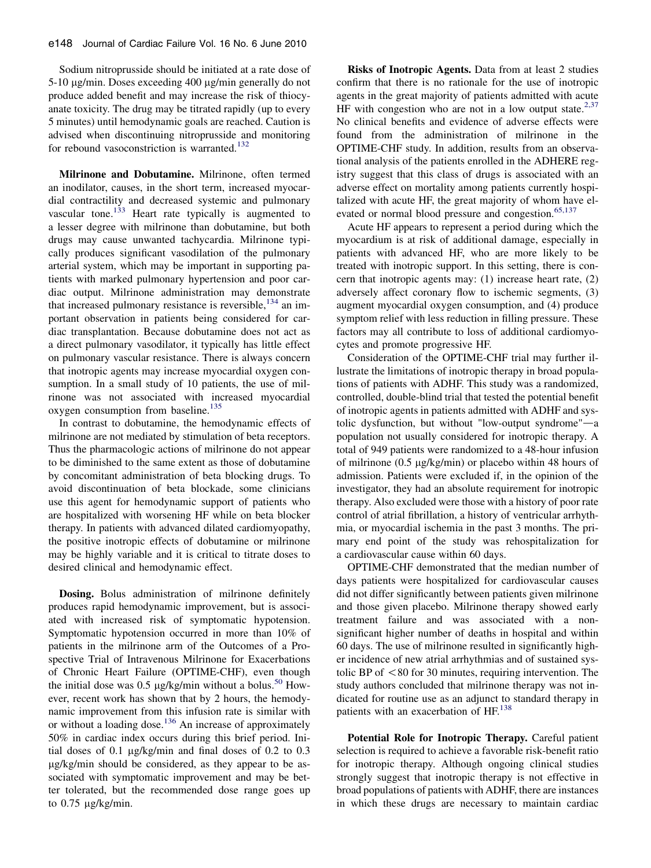Sodium nitroprusside should be initiated at a rate dose of 5-10 μg/min. Doses exceeding 400 μg/min generally do not produce added benefit and may increase the risk of thiocyanate toxicity. The drug may be titrated rapidly (up to every 5 minutes) until hemodynamic goals are reached. Caution is advised when discontinuing nitroprusside and monitoring for rebound vasoconstriction is warranted.<sup>[132](#page-22-0)</sup>

Milrinone and Dobutamine. Milrinone, often termed an inodilator, causes, in the short term, increased myocardial contractility and decreased systemic and pulmonary vascular tone.<sup>[133](#page-22-0)</sup> Heart rate typically is augmented to a lesser degree with milrinone than dobutamine, but both drugs may cause unwanted tachycardia. Milrinone typically produces significant vasodilation of the pulmonary arterial system, which may be important in supporting patients with marked pulmonary hypertension and poor cardiac output. Milrinone administration may demonstrate that increased pulmonary resistance is reversible,  $^{134}$  $^{134}$  $^{134}$  an important observation in patients being considered for cardiac transplantation. Because dobutamine does not act as a direct pulmonary vasodilator, it typically has little effect on pulmonary vascular resistance. There is always concern that inotropic agents may increase myocardial oxygen consumption. In a small study of 10 patients, the use of milrinone was not associated with increased myocardial oxygen consumption from baseline.<sup>[135](#page-22-0)</sup>

In contrast to dobutamine, the hemodynamic effects of milrinone are not mediated by stimulation of beta receptors. Thus the pharmacologic actions of milrinone do not appear to be diminished to the same extent as those of dobutamine by concomitant administration of beta blocking drugs. To avoid discontinuation of beta blockade, some clinicians use this agent for hemodynamic support of patients who are hospitalized with worsening HF while on beta blocker therapy. In patients with advanced dilated cardiomyopathy, the positive inotropic effects of dobutamine or milrinone may be highly variable and it is critical to titrate doses to desired clinical and hemodynamic effect.

Dosing. Bolus administration of milrinone definitely produces rapid hemodynamic improvement, but is associated with increased risk of symptomatic hypotension. Symptomatic hypotension occurred in more than 10% of patients in the milrinone arm of the Outcomes of a Prospective Trial of Intravenous Milrinone for Exacerbations of Chronic Heart Failure (OPTIME-CHF), even though the initial dose was 0.5  $\mu$ g/kg/min without a bolus.<sup>[50](#page-19-0)</sup> However, recent work has shown that by 2 hours, the hemodynamic improvement from this infusion rate is similar with or without a loading dose.[136](#page-22-0) An increase of approximately 50% in cardiac index occurs during this brief period. Initial doses of 0.1 mg/kg/min and final doses of 0.2 to 0.3 mg/kg/min should be considered, as they appear to be associated with symptomatic improvement and may be better tolerated, but the recommended dose range goes up to  $0.75 \mu g/kg/min$ .

Risks of Inotropic Agents. Data from at least 2 studies confirm that there is no rationale for the use of inotropic agents in the great majority of patients admitted with acute HF with congestion who are not in a low output state.<sup>[2,37](#page-18-0)</sup> No clinical benefits and evidence of adverse effects were found from the administration of milrinone in the OPTIME-CHF study. In addition, results from an observational analysis of the patients enrolled in the ADHERE registry suggest that this class of drugs is associated with an adverse effect on mortality among patients currently hospitalized with acute HF, the great majority of whom have el-evated or normal blood pressure and congestion.<sup>[65,137](#page-20-0)</sup>

Acute HF appears to represent a period during which the myocardium is at risk of additional damage, especially in patients with advanced HF, who are more likely to be treated with inotropic support. In this setting, there is concern that inotropic agents may: (1) increase heart rate, (2) adversely affect coronary flow to ischemic segments, (3) augment myocardial oxygen consumption, and (4) produce symptom relief with less reduction in filling pressure. These factors may all contribute to loss of additional cardiomyocytes and promote progressive HF.

Consideration of the OPTIME-CHF trial may further illustrate the limitations of inotropic therapy in broad populations of patients with ADHF. This study was a randomized, controlled, double-blind trial that tested the potential benefit of inotropic agents in patients admitted with ADHF and systolic dysfunction, but without "low-output syndrome" $-a$ population not usually considered for inotropic therapy. A total of 949 patients were randomized to a 48-hour infusion of milrinone  $(0.5 \mu g/kg/min)$  or placebo within 48 hours of admission. Patients were excluded if, in the opinion of the investigator, they had an absolute requirement for inotropic therapy. Also excluded were those with a history of poor rate control of atrial fibrillation, a history of ventricular arrhythmia, or myocardial ischemia in the past 3 months. The primary end point of the study was rehospitalization for a cardiovascular cause within 60 days.

OPTIME-CHF demonstrated that the median number of days patients were hospitalized for cardiovascular causes did not differ significantly between patients given milrinone and those given placebo. Milrinone therapy showed early treatment failure and was associated with a nonsignificant higher number of deaths in hospital and within 60 days. The use of milrinone resulted in significantly higher incidence of new atrial arrhythmias and of sustained systolic BP of  $<80$  for 30 minutes, requiring intervention. The study authors concluded that milrinone therapy was not indicated for routine use as an adjunct to standard therapy in patients with an exacerbation of HF.<sup>[138](#page-22-0)</sup>

Potential Role for Inotropic Therapy. Careful patient selection is required to achieve a favorable risk-benefit ratio for inotropic therapy. Although ongoing clinical studies strongly suggest that inotropic therapy is not effective in broad populations of patients with ADHF, there are instances in which these drugs are necessary to maintain cardiac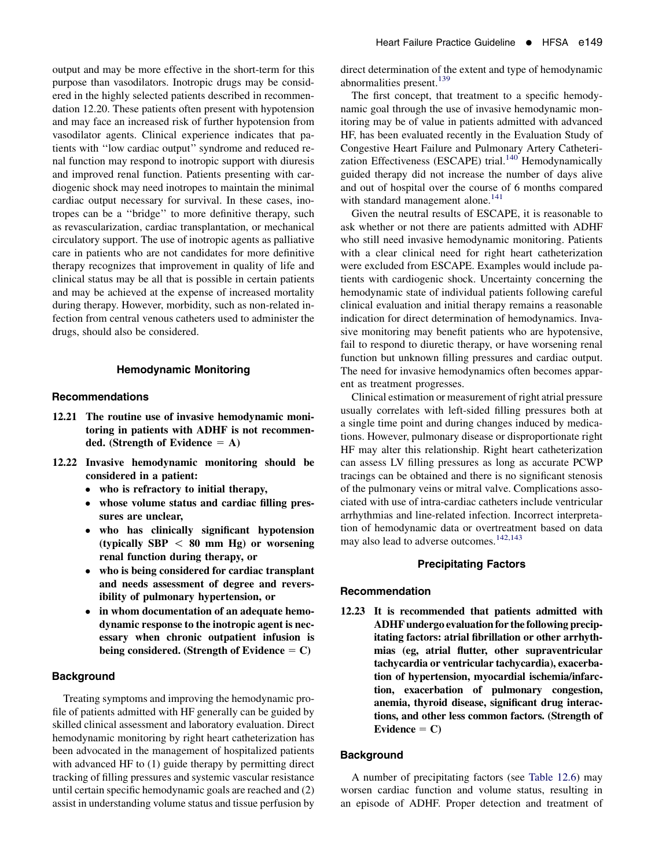output and may be more effective in the short-term for this purpose than vasodilators. Inotropic drugs may be considered in the highly selected patients described in recommendation 12.20. These patients often present with hypotension and may face an increased risk of further hypotension from vasodilator agents. Clinical experience indicates that patients with ''low cardiac output'' syndrome and reduced renal function may respond to inotropic support with diuresis and improved renal function. Patients presenting with cardiogenic shock may need inotropes to maintain the minimal cardiac output necessary for survival. In these cases, inotropes can be a ''bridge'' to more definitive therapy, such as revascularization, cardiac transplantation, or mechanical circulatory support. The use of inotropic agents as palliative care in patients who are not candidates for more definitive therapy recognizes that improvement in quality of life and clinical status may be all that is possible in certain patients and may be achieved at the expense of increased mortality during therapy. However, morbidity, such as non-related infection from central venous catheters used to administer the drugs, should also be considered.

## Hemodynamic Monitoring

## Recommendations

- 12.21 The routine use of invasive hemodynamic monitoring in patients with ADHF is not recommended. (Strength of Evidence  $= A$ )
- 12.22 Invasive hemodynamic monitoring should be considered in a patient:
	- who is refractory to initial therapy,
	- whose volume status and cardiac filling pressures are unclear,
	- who has clinically significant hypotension (typically SBP  $< 80$  mm Hg) or worsening renal function during therapy, or
	- who is being considered for cardiac transplant and needs assessment of degree and reversibility of pulmonary hypertension, or
	- in whom documentation of an adequate hemodynamic response to the inotropic agent is necessary when chronic outpatient infusion is being considered. (Strength of Evidence  $= C$ )

### **Background**

Treating symptoms and improving the hemodynamic profile of patients admitted with HF generally can be guided by skilled clinical assessment and laboratory evaluation. Direct hemodynamic monitoring by right heart catheterization has been advocated in the management of hospitalized patients with advanced HF to (1) guide therapy by permitting direct tracking of filling pressures and systemic vascular resistance until certain specific hemodynamic goals are reached and (2) assist in understanding volume status and tissue perfusion by direct determination of the extent and type of hemodynamic abnormalities present. $139$ 

The first concept, that treatment to a specific hemodynamic goal through the use of invasive hemodynamic monitoring may be of value in patients admitted with advanced HF, has been evaluated recently in the Evaluation Study of Congestive Heart Failure and Pulmonary Artery Catheterization Effectiveness (ESCAPE) trial. $140$  Hemodynamically guided therapy did not increase the number of days alive and out of hospital over the course of 6 months compared with standard management alone.<sup>[141](#page-22-0)</sup>

Given the neutral results of ESCAPE, it is reasonable to ask whether or not there are patients admitted with ADHF who still need invasive hemodynamic monitoring. Patients with a clear clinical need for right heart catheterization were excluded from ESCAPE. Examples would include patients with cardiogenic shock. Uncertainty concerning the hemodynamic state of individual patients following careful clinical evaluation and initial therapy remains a reasonable indication for direct determination of hemodynamics. Invasive monitoring may benefit patients who are hypotensive, fail to respond to diuretic therapy, or have worsening renal function but unknown filling pressures and cardiac output. The need for invasive hemodynamics often becomes apparent as treatment progresses.

Clinical estimation or measurement of right atrial pressure usually correlates with left-sided filling pressures both at a single time point and during changes induced by medications. However, pulmonary disease or disproportionate right HF may alter this relationship. Right heart catheterization can assess LV filling pressures as long as accurate PCWP tracings can be obtained and there is no significant stenosis of the pulmonary veins or mitral valve. Complications associated with use of intra-cardiac catheters include ventricular arrhythmias and line-related infection. Incorrect interpretation of hemodynamic data or overtreatment based on data may also lead to adverse outcomes.<sup>[142,143](#page-22-0)</sup>

## Precipitating Factors

### Recommendation

12.23 It is recommended that patients admitted with ADHF undergo evaluation for the following precipitating factors: atrial fibrillation or other arrhythmias (eg, atrial flutter, other supraventricular tachycardia or ventricular tachycardia), exacerbation of hypertension, myocardial ischemia/infarction, exacerbation of pulmonary congestion, anemia, thyroid disease, significant drug interactions, and other less common factors. (Strength of Evidence  $= C$ )

### **Background**

A number of precipitating factors (see [Table 12.6\)](#page-16-0) may worsen cardiac function and volume status, resulting in an episode of ADHF. Proper detection and treatment of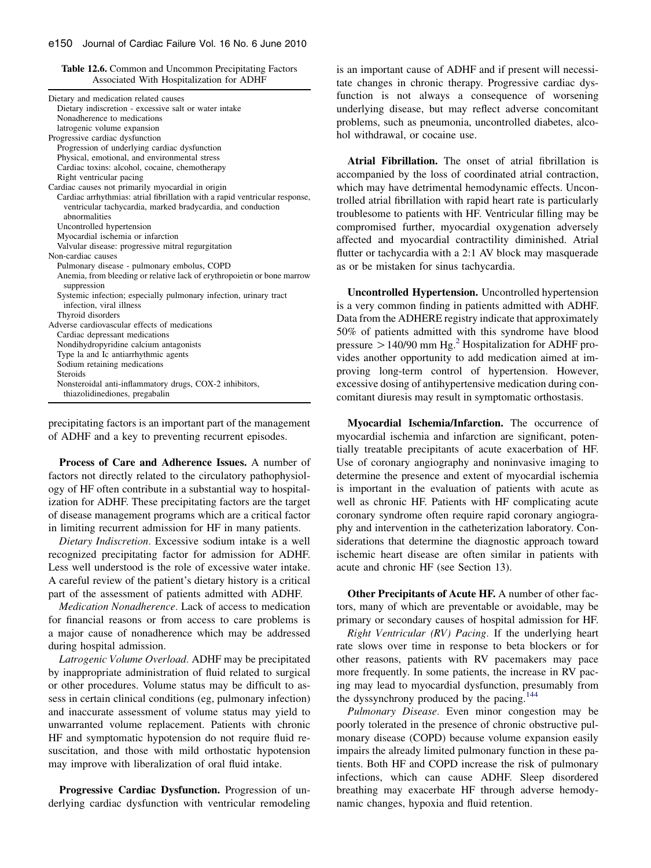<span id="page-16-0"></span>

| Table 12.6. Common and Uncommon Precipitating Factors |  |
|-------------------------------------------------------|--|
| Associated With Hospitalization for ADHF              |  |

| Dietary and medication related causes                                                  |
|----------------------------------------------------------------------------------------|
| Dietary indiscretion - excessive salt or water intake                                  |
| Nonadherence to medications                                                            |
| latrogenic volume expansion                                                            |
| Progressive cardiac dysfunction                                                        |
| Progression of underlying cardiac dysfunction                                          |
| Physical, emotional, and environmental stress                                          |
| Cardiac toxins: alcohol, cocaine, chemotherapy                                         |
| Right ventricular pacing                                                               |
| Cardiac causes not primarily myocardial in origin                                      |
| Cardiac arrhythmias: atrial fibrillation with a rapid ventricular response,            |
| ventricular tachycardia, marked bradycardia, and conduction                            |
| abnormalities                                                                          |
| Uncontrolled hypertension                                                              |
| Myocardial ischemia or infarction                                                      |
| Valvular disease: progressive mitral regurgitation                                     |
| Non-cardiac causes                                                                     |
| Pulmonary disease - pulmonary embolus, COPD                                            |
| Anemia, from bleeding or relative lack of erythropoietin or bone marrow<br>suppression |
| Systemic infection; especially pulmonary infection, urinary tract                      |
| infection, viral illness                                                               |
| Thyroid disorders                                                                      |
| Adverse cardiovascular effects of medications                                          |
| Cardiac depressant medications                                                         |
| Nondihydropyridine calcium antagonists                                                 |
| Type la and Ic antiarrhythmic agents                                                   |
| Sodium retaining medications                                                           |
| Steroids                                                                               |
| Nonsteroidal anti-inflammatory drugs, COX-2 inhibitors,                                |
| thiazolidinediones, pregabalin                                                         |
|                                                                                        |
|                                                                                        |

precipitating factors is an important part of the management of ADHF and a key to preventing recurrent episodes.

Process of Care and Adherence Issues. A number of factors not directly related to the circulatory pathophysiology of HF often contribute in a substantial way to hospitalization for ADHF. These precipitating factors are the target of disease management programs which are a critical factor in limiting recurrent admission for HF in many patients.

Dietary Indiscretion. Excessive sodium intake is a well recognized precipitating factor for admission for ADHF. Less well understood is the role of excessive water intake. A careful review of the patient's dietary history is a critical part of the assessment of patients admitted with ADHF.

Medication Nonadherence. Lack of access to medication for financial reasons or from access to care problems is a major cause of nonadherence which may be addressed during hospital admission.

Latrogenic Volume Overload. ADHF may be precipitated by inappropriate administration of fluid related to surgical or other procedures. Volume status may be difficult to assess in certain clinical conditions (eg, pulmonary infection) and inaccurate assessment of volume status may yield to unwarranted volume replacement. Patients with chronic HF and symptomatic hypotension do not require fluid resuscitation, and those with mild orthostatic hypotension may improve with liberalization of oral fluid intake.

Progressive Cardiac Dysfunction. Progression of underlying cardiac dysfunction with ventricular remodeling is an important cause of ADHF and if present will necessitate changes in chronic therapy. Progressive cardiac dysfunction is not always a consequence of worsening underlying disease, but may reflect adverse concomitant problems, such as pneumonia, uncontrolled diabetes, alcohol withdrawal, or cocaine use.

Atrial Fibrillation. The onset of atrial fibrillation is accompanied by the loss of coordinated atrial contraction, which may have detrimental hemodynamic effects. Uncontrolled atrial fibrillation with rapid heart rate is particularly troublesome to patients with HF. Ventricular filling may be compromised further, myocardial oxygenation adversely affected and myocardial contractility diminished. Atrial flutter or tachycardia with a 2:1 AV block may masquerade as or be mistaken for sinus tachycardia.

Uncontrolled Hypertension. Uncontrolled hypertension is a very common finding in patients admitted with ADHF. Data from the ADHERE registry indicate that approximately 50% of patients admitted with this syndrome have blood pressure  $> 140/90$  mm Hg.<sup>[2](#page-18-0)</sup> Hospitalization for ADHF provides another opportunity to add medication aimed at improving long-term control of hypertension. However, excessive dosing of antihypertensive medication during concomitant diuresis may result in symptomatic orthostasis.

Myocardial Ischemia/Infarction. The occurrence of myocardial ischemia and infarction are significant, potentially treatable precipitants of acute exacerbation of HF. Use of coronary angiography and noninvasive imaging to determine the presence and extent of myocardial ischemia is important in the evaluation of patients with acute as well as chronic HF. Patients with HF complicating acute coronary syndrome often require rapid coronary angiography and intervention in the catheterization laboratory. Considerations that determine the diagnostic approach toward ischemic heart disease are often similar in patients with acute and chronic HF (see Section 13).

Other Precipitants of Acute HF. A number of other factors, many of which are preventable or avoidable, may be primary or secondary causes of hospital admission for HF.

Right Ventricular (RV) Pacing. If the underlying heart rate slows over time in response to beta blockers or for other reasons, patients with RV pacemakers may pace more frequently. In some patients, the increase in RV pacing may lead to myocardial dysfunction, presumably from the dyssynchrony produced by the pacing.<sup>[144](#page-22-0)</sup>

Pulmonary Disease. Even minor congestion may be poorly tolerated in the presence of chronic obstructive pulmonary disease (COPD) because volume expansion easily impairs the already limited pulmonary function in these patients. Both HF and COPD increase the risk of pulmonary infections, which can cause ADHF. Sleep disordered breathing may exacerbate HF through adverse hemodynamic changes, hypoxia and fluid retention.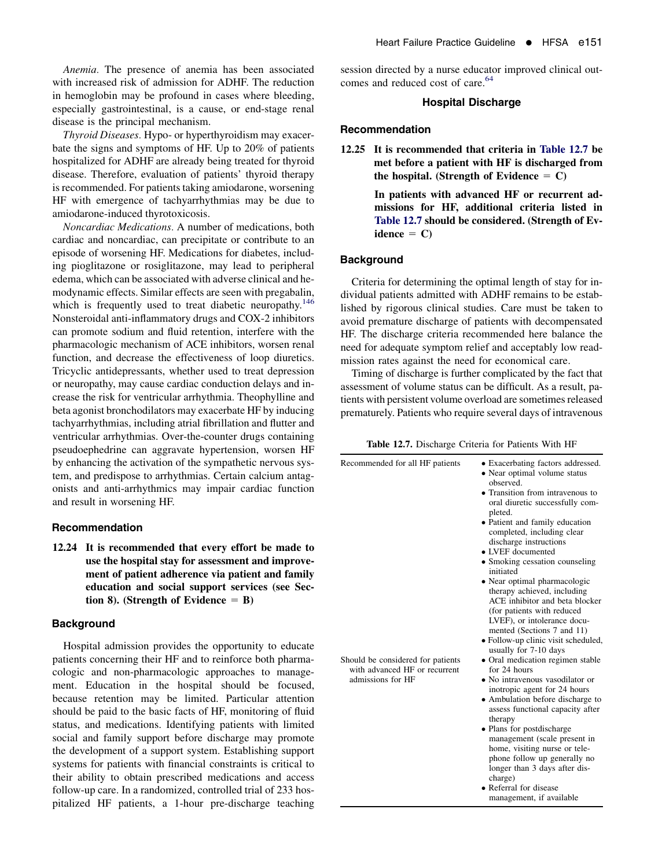Anemia. The presence of anemia has been associated with increased risk of admission for ADHF. The reduction in hemoglobin may be profound in cases where bleeding, especially gastrointestinal, is a cause, or end-stage renal disease is the principal mechanism.

Thyroid Diseases. Hypo- or hyperthyroidism may exacerbate the signs and symptoms of HF. Up to 20% of patients hospitalized for ADHF are already being treated for thyroid disease. Therefore, evaluation of patients' thyroid therapy is recommended. For patients taking amiodarone, worsening HF with emergence of tachyarrhythmias may be due to amiodarone-induced thyrotoxicosis.

Noncardiac Medications. A number of medications, both cardiac and noncardiac, can precipitate or contribute to an episode of worsening HF. Medications for diabetes, including pioglitazone or rosiglitazone, may lead to peripheral edema, which can be associated with adverse clinical and hemodynamic effects. Similar effects are seen with pregabalin, which is frequently used to treat diabetic neuropathy.<sup>[146](#page-22-0)</sup> Nonsteroidal anti-inflammatory drugs and COX-2 inhibitors can promote sodium and fluid retention, interfere with the pharmacologic mechanism of ACE inhibitors, worsen renal function, and decrease the effectiveness of loop diuretics. Tricyclic antidepressants, whether used to treat depression or neuropathy, may cause cardiac conduction delays and increase the risk for ventricular arrhythmia. Theophylline and beta agonist bronchodilators may exacerbate HF by inducing tachyarrhythmias, including atrial fibrillation and flutter and ventricular arrhythmias. Over-the-counter drugs containing pseudoephedrine can aggravate hypertension, worsen HF by enhancing the activation of the sympathetic nervous system, and predispose to arrhythmias. Certain calcium antagonists and anti-arrhythmics may impair cardiac function and result in worsening HF.

### Recommendation

12.24 It is recommended that every effort be made to use the hospital stay for assessment and improvement of patient adherence via patient and family education and social support services (see Section 8). (Strength of Evidence  $=$  B)

### Background

Hospital admission provides the opportunity to educate patients concerning their HF and to reinforce both pharmacologic and non-pharmacologic approaches to management. Education in the hospital should be focused, because retention may be limited. Particular attention should be paid to the basic facts of HF, monitoring of fluid status, and medications. Identifying patients with limited social and family support before discharge may promote the development of a support system. Establishing support systems for patients with financial constraints is critical to their ability to obtain prescribed medications and access follow-up care. In a randomized, controlled trial of 233 hospitalized HF patients, a 1-hour pre-discharge teaching

session directed by a nurse educator improved clinical out-comes and reduced cost of care.<sup>[64](#page-20-0)</sup>

## Hospital Discharge

#### Recommendation

12.25 It is recommended that criteria in Table 12.7 be met before a patient with HF is discharged from the hospital. (Strength of Evidence  $= C$ )

> In patients with advanced HF or recurrent admissions for HF, additional criteria listed in Table 12.7 should be considered. (Strength of Evidence  $= C$ )

### **Background**

Criteria for determining the optimal length of stay for individual patients admitted with ADHF remains to be established by rigorous clinical studies. Care must be taken to avoid premature discharge of patients with decompensated HF. The discharge criteria recommended here balance the need for adequate symptom relief and acceptably low readmission rates against the need for economical care.

Timing of discharge is further complicated by the fact that assessment of volume status can be difficult. As a result, patients with persistent volume overload are sometimes released prematurely. Patients who require several days of intravenous

Table 12.7. Discharge Criteria for Patients With HF

| Recommended for all HF patients   | • Exacerbating factors addressed.                             |
|-----------------------------------|---------------------------------------------------------------|
|                                   | • Near optimal volume status                                  |
|                                   | observed.                                                     |
|                                   | • Transition from intravenous to                              |
|                                   | oral diuretic successfully com-                               |
|                                   | pleted.<br>• Patient and family education                     |
|                                   | completed, including clear                                    |
|                                   | discharge instructions                                        |
|                                   | • LVEF documented                                             |
|                                   | • Smoking cessation counseling                                |
|                                   | initiated                                                     |
|                                   | • Near optimal pharmacologic                                  |
|                                   | therapy achieved, including                                   |
|                                   | ACE inhibitor and beta blocker                                |
|                                   | (for patients with reduced                                    |
|                                   | LVEF), or intolerance docu-                                   |
|                                   | mented (Sections 7 and 11)                                    |
|                                   | • Follow-up clinic visit scheduled,<br>usually for 7-10 days  |
| Should be considered for patients | • Oral medication regimen stable                              |
| with advanced HF or recurrent     | for 24 hours                                                  |
| admissions for HF                 | • No intravenous vasodilator or                               |
|                                   | inotropic agent for 24 hours                                  |
|                                   | • Ambulation before discharge to                              |
|                                   | assess functional capacity after                              |
|                                   | therapy                                                       |
|                                   | • Plans for postdischarge                                     |
|                                   | management (scale present in                                  |
|                                   | home, visiting nurse or tele-                                 |
|                                   | phone follow up generally no<br>longer than 3 days after dis- |
|                                   | charge)                                                       |
|                                   | • Referral for disease                                        |
|                                   | management, if available                                      |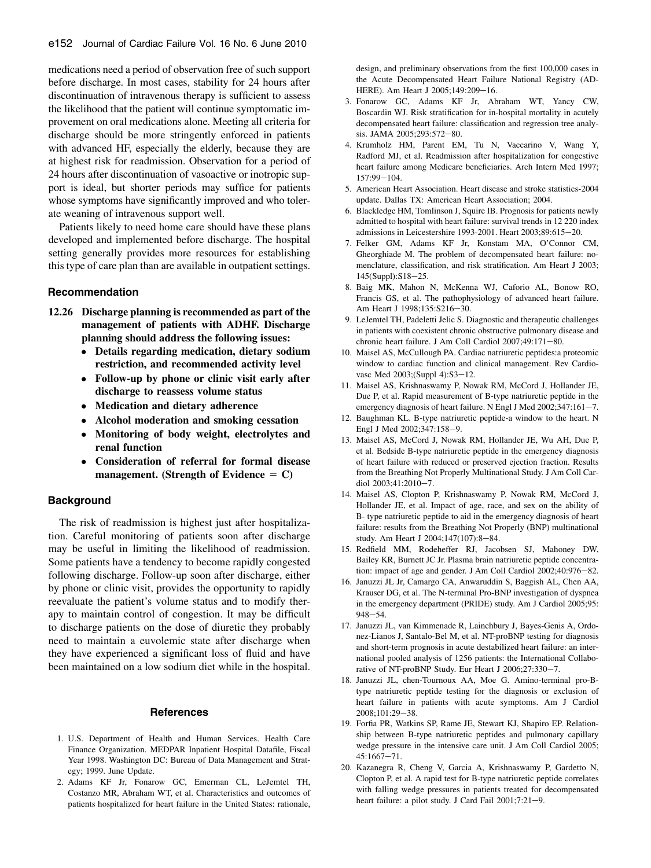<span id="page-18-0"></span>medications need a period of observation free of such support before discharge. In most cases, stability for 24 hours after discontinuation of intravenous therapy is sufficient to assess the likelihood that the patient will continue symptomatic improvement on oral medications alone. Meeting all criteria for discharge should be more stringently enforced in patients with advanced HF, especially the elderly, because they are at highest risk for readmission. Observation for a period of 24 hours after discontinuation of vasoactive or inotropic support is ideal, but shorter periods may suffice for patients whose symptoms have significantly improved and who tolerate weaning of intravenous support well.

Patients likely to need home care should have these plans developed and implemented before discharge. The hospital setting generally provides more resources for establishing this type of care plan than are available in outpatient settings.

### Recommendation

- 12.26 Discharge planning is recommended as part of the management of patients with ADHF. Discharge planning should address the following issues:
	- Details regarding medication, dietary sodium restriction, and recommended activity level
	- Follow-up by phone or clinic visit early after discharge to reassess volume status
	- Medication and dietary adherence
	- Alcohol moderation and smoking cessation
	- Monitoring of body weight, electrolytes and renal function
	- Consideration of referral for formal disease management. (Strength of Evidence  $= C$ )

### Background

The risk of readmission is highest just after hospitalization. Careful monitoring of patients soon after discharge may be useful in limiting the likelihood of readmission. Some patients have a tendency to become rapidly congested following discharge. Follow-up soon after discharge, either by phone or clinic visit, provides the opportunity to rapidly reevaluate the patient's volume status and to modify therapy to maintain control of congestion. It may be difficult to discharge patients on the dose of diuretic they probably need to maintain a euvolemic state after discharge when they have experienced a significant loss of fluid and have been maintained on a low sodium diet while in the hospital.

#### **References**

- 1. U.S. Department of Health and Human Services. Health Care Finance Organization. MEDPAR Inpatient Hospital Datafile, Fiscal Year 1998. Washington DC: Bureau of Data Management and Strategy; 1999. June Update.
- 2. Adams KF Jr, Fonarow GC, Emerman CL, LeJemtel TH, Costanzo MR, Abraham WT, et al. Characteristics and outcomes of patients hospitalized for heart failure in the United States: rationale,

design, and preliminary observations from the first 100,000 cases in the Acute Decompensated Heart Failure National Registry (AD-HERE). Am Heart J 2005;149:209-16.

- 3. Fonarow GC, Adams KF Jr, Abraham WT, Yancy CW, Boscardin WJ. Risk stratification for in-hospital mortality in acutely decompensated heart failure: classification and regression tree analysis. JAMA 2005:293:572-80.
- 4. Krumholz HM, Parent EM, Tu N, Vaccarino V, Wang Y, Radford MJ, et al. Readmission after hospitalization for congestive heart failure among Medicare beneficiaries. Arch Intern Med 1997; 157:99-104.
- 5. American Heart Association. Heart disease and stroke statistics-2004 update. Dallas TX: American Heart Association; 2004.
- 6. Blackledge HM, Tomlinson J, Squire IB. Prognosis for patients newly admitted to hospital with heart failure: survival trends in 12 220 index admissions in Leicestershire 1993-2001. Heart  $2003;89:615-20$ .
- 7. Felker GM, Adams KF Jr, Konstam MA, O'Connor CM, Gheorghiade M. The problem of decompensated heart failure: nomenclature, classification, and risk stratification. Am Heart J 2003; 145(Suppl):S18-25.
- 8. Baig MK, Mahon N, McKenna WJ, Caforio AL, Bonow RO, Francis GS, et al. The pathophysiology of advanced heart failure. Am Heart J 1998;135:S216-30.
- 9. LeJemtel TH, Padeletti Jelic S. Diagnostic and therapeutic challenges in patients with coexistent chronic obstructive pulmonary disease and chronic heart failure. J Am Coll Cardiol 2007;49:171-80.
- 10. Maisel AS, McCullough PA. Cardiac natriuretic peptides:a proteomic window to cardiac function and clinical management. Rev Cardiovasc Med  $2003$ ;(Suppl 4):S3-12.
- 11. Maisel AS, Krishnaswamy P, Nowak RM, McCord J, Hollander JE, Due P, et al. Rapid measurement of B-type natriuretic peptide in the emergency diagnosis of heart failure. N Engl J Med  $2002;347:161-7$ .
- 12. Baughman KL. B-type natriuretic peptide-a window to the heart. N Engl J Med 2002;347:158-9.
- 13. Maisel AS, McCord J, Nowak RM, Hollander JE, Wu AH, Due P, et al. Bedside B-type natriuretic peptide in the emergency diagnosis of heart failure with reduced or preserved ejection fraction. Results from the Breathing Not Properly Multinational Study. J Am Coll Cardiol 2003;41:2010-7.
- 14. Maisel AS, Clopton P, Krishnaswamy P, Nowak RM, McCord J, Hollander JE, et al. Impact of age, race, and sex on the ability of B- type natriuretic peptide to aid in the emergency diagnosis of heart failure: results from the Breathing Not Properly (BNP) multinational study. Am Heart J 2004;147(107):8-84.
- 15. Redfield MM, Rodeheffer RJ, Jacobsen SJ, Mahoney DW, Bailey KR, Burnett JC Jr. Plasma brain natriuretic peptide concentration: impact of age and gender. J Am Coll Cardiol 2002;40:976-82.
- 16. Januzzi JL Jr, Camargo CA, Anwaruddin S, Baggish AL, Chen AA, Krauser DG, et al. The N-terminal Pro-BNP investigation of dyspnea in the emergency department (PRIDE) study. Am J Cardiol 2005;95:  $948 - 54.$
- 17. Januzzi JL, van Kimmenade R, Lainchbury J, Bayes-Genis A, Ordonez-Lianos J, Santalo-Bel M, et al. NT-proBNP testing for diagnosis and short-term prognosis in acute destabilized heart failure: an international pooled analysis of 1256 patients: the International Collaborative of NT-proBNP Study. Eur Heart J 2006;27:330-7.
- 18. Januzzi JL, chen-Tournoux AA, Moe G. Amino-terminal pro-Btype natriuretic peptide testing for the diagnosis or exclusion of heart failure in patients with acute symptoms. Am J Cardiol  $2008:101:29-38.$
- 19. Forfia PR, Watkins SP, Rame JE, Stewart KJ, Shapiro EP. Relationship between B-type natriuretic peptides and pulmonary capillary wedge pressure in the intensive care unit. J Am Coll Cardiol 2005;  $45:1667 - 71.$
- 20. Kazanegra R, Cheng V, Garcia A, Krishnaswamy P, Gardetto N, Clopton P, et al. A rapid test for B-type natriuretic peptide correlates with falling wedge pressures in patients treated for decompensated heart failure: a pilot study. J Card Fail 2001;7:21-9.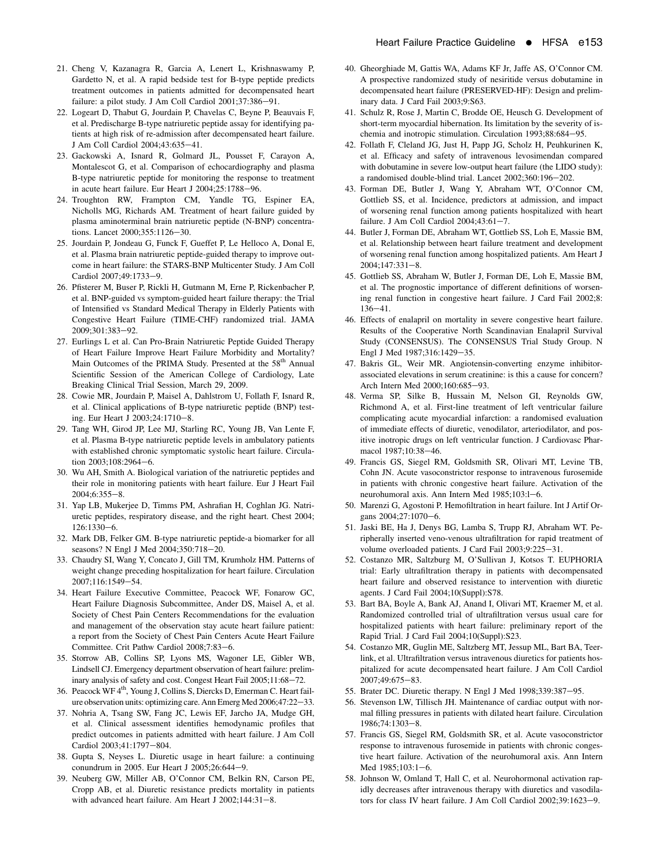- <span id="page-19-0"></span>21. Cheng V, Kazanagra R, Garcia A, Lenert L, Krishnaswamy P, Gardetto N, et al. A rapid bedside test for B-type peptide predicts treatment outcomes in patients admitted for decompensated heart failure: a pilot study. J Am Coll Cardiol  $2001;37:386-91$ .
- 22. Logeart D, Thabut G, Jourdain P, Chavelas C, Beyne P, Beauvais F, et al. Predischarge B-type natriuretic peptide assay for identifying patients at high risk of re-admission after decompensated heart failure. J Am Coll Cardiol 2004;43:635-41.
- 23. Gackowski A, Isnard R, Golmard JL, Pousset F, Carayon A, Montalescot G, et al. Comparison of echocardiography and plasma B-type natriuretic peptide for monitoring the response to treatment in acute heart failure. Eur Heart J  $2004;25:1788-96$ .
- 24. Troughton RW, Frampton CM, Yandle TG, Espiner EA, Nicholls MG, Richards AM. Treatment of heart failure guided by plasma aminoterminal brain natriuretic peptide (N-BNP) concentrations. Lancet 2000;355:1126-30.
- 25. Jourdain P, Jondeau G, Funck F, Gueffet P, Le Helloco A, Donal E, et al. Plasma brain natriuretic peptide-guided therapy to improve outcome in heart failure: the STARS-BNP Multicenter Study. J Am Coll Cardiol 2007;49:1733-9.
- 26. Pfisterer M, Buser P, Rickli H, Gutmann M, Erne P, Rickenbacher P, et al. BNP-guided vs symptom-guided heart failure therapy: the Trial of Intensified vs Standard Medical Therapy in Elderly Patients with Congestive Heart Failure (TIME-CHF) randomized trial. JAMA 2009;301:383-92.
- 27. Eurlings L et al. Can Pro-Brain Natriuretic Peptide Guided Therapy of Heart Failure Improve Heart Failure Morbidity and Mortality? Main Outcomes of the PRIMA Study. Presented at the 58<sup>th</sup> Annual Scientific Session of the American College of Cardiology, Late Breaking Clinical Trial Session, March 29, 2009.
- 28. Cowie MR, Jourdain P, Maisel A, Dahlstrom U, Follath F, Isnard R, et al. Clinical applications of B-type natriuretic peptide (BNP) testing. Eur Heart J 2003;24:1710-8.
- 29. Tang WH, Girod JP, Lee MJ, Starling RC, Young JB, Van Lente F, et al. Plasma B-type natriuretic peptide levels in ambulatory patients with established chronic symptomatic systolic heart failure. Circulation 2003;108:2964-6.
- 30. Wu AH, Smith A. Biological variation of the natriuretic peptides and their role in monitoring patients with heart failure. Eur J Heart Fail  $2004:6:355-8$ .
- 31. Yap LB, Mukerjee D, Timms PM, Ashrafian H, Coghlan JG. Natriuretic peptides, respiratory disease, and the right heart. Chest 2004;  $126:1330-6.$
- 32. Mark DB, Felker GM. B-type natriuretic peptide-a biomarker for all seasons? N Engl J Med 2004;350:718-20.
- 33. Chaudry SI, Wang Y, Concato J, Gill TM, Krumholz HM. Patterns of weight change preceding hospitalization for heart failure. Circulation 2007;116:1549-54.
- 34. Heart Failure Executive Committee, Peacock WF, Fonarow GC, Heart Failure Diagnosis Subcommittee, Ander DS, Maisel A, et al. Society of Chest Pain Centers Recommendations for the evaluation and management of the observation stay acute heart failure patient: a report from the Society of Chest Pain Centers Acute Heart Failure Committee. Crit Pathw Cardiol 2008;7:83-6.
- 35. Storrow AB, Collins SP, Lyons MS, Wagoner LE, Gibler WB, Lindsell CJ. Emergency department observation of heart failure: preliminary analysis of safety and cost. Congest Heart Fail  $2005;11:68-72$ .
- 36. Peacock WF 4<sup>th</sup>, Young J, Collins S, Diercks D, Emerman C. Heart failure observation units: optimizing care. Ann Emerg Med 2006;47:22-33.
- 37. Nohria A, Tsang SW, Fang JC, Lewis EF, Jarcho JA, Mudge GH, et al. Clinical assessment identifies hemodynamic profiles that predict outcomes in patients admitted with heart failure. J Am Coll Cardiol 2003;41:1797-804.
- 38. Gupta S, Neyses L. Diuretic usage in heart failure: a continuing conundrum in 2005. Eur Heart J 2005;26:644-9.
- 39. Neuberg GW, Miller AB, O'Connor CM, Belkin RN, Carson PE, Cropp AB, et al. Diuretic resistance predicts mortality in patients with advanced heart failure. Am Heart J  $2002;144:31-8$ .
- 40. Gheorghiade M, Gattis WA, Adams KF Jr, Jaffe AS, O'Connor CM. A prospective randomized study of nesiritide versus dobutamine in decompensated heart failure (PRESERVED-HF): Design and preliminary data. J Card Fail 2003;9:S63.
- 41. Schulz R, Rose J, Martin C, Brodde OE, Heusch G. Development of short-term myocardial hibernation. Its limitation by the severity of ischemia and inotropic stimulation. Circulation 1993;88:684-95.
- 42. Follath F, Cleland JG, Just H, Papp JG, Scholz H, Peuhkurinen K, et al. Efficacy and safety of intravenous levosimendan compared with dobutamine in severe low-output heart failure (the LIDO study): a randomised double-blind trial. Lancet 2002;360:196-202.
- 43. Forman DE, Butler J, Wang Y, Abraham WT, O'Connor CM, Gottlieb SS, et al. Incidence, predictors at admission, and impact of worsening renal function among patients hospitalized with heart failure. J Am Coll Cardiol  $2004;43:61-7$ .
- 44. Butler J, Forman DE, Abraham WT, Gottlieb SS, Loh E, Massie BM, et al. Relationship between heart failure treatment and development of worsening renal function among hospitalized patients. Am Heart J 2004;147:331-8.
- 45. Gottlieb SS, Abraham W, Butler J, Forman DE, Loh E, Massie BM, et al. The prognostic importance of different definitions of worsening renal function in congestive heart failure. J Card Fail 2002;8:  $136 - 41.$
- 46. Effects of enalapril on mortality in severe congestive heart failure. Results of the Cooperative North Scandinavian Enalapril Survival Study (CONSENSUS). The CONSENSUS Trial Study Group. N Engl J Med 1987;316:1429-35.
- 47. Bakris GL, Weir MR. Angiotensin-converting enzyme inhibitorassociated elevations in serum creatinine: is this a cause for concern? Arch Intern Med 2000;160:685-93.
- 48. Verma SP, Silke B, Hussain M, Nelson GI, Reynolds GW, Richmond A, et al. First-line treatment of left ventricular failure complicating acute myocardial infarction: a randomised evaluation of immediate effects of diuretic, venodilator, arteriodilator, and positive inotropic drugs on left ventricular function. J Cardiovasc Pharmacol 1987:10:38-46.
- 49. Francis GS, Siegel RM, Goldsmith SR, Olivari MT, Levine TB, Cohn JN. Acute vasoconstrictor response to intravenous furosemide in patients with chronic congestive heart failure. Activation of the neurohumoral axis. Ann Intern Med 1985;103:l-6.
- 50. Marenzi G, Agostoni P. Hemofiltration in heart failure. Int J Artif Organs 2004;27:1070-6.
- 51. Jaski BE, Ha J, Denys BG, Lamba S, Trupp RJ, Abraham WT. Peripherally inserted veno-venous ultrafiltration for rapid treatment of volume overloaded patients. J Card Fail 2003;9:225-31.
- 52. Costanzo MR, Saltzburg M, O'Sullivan J, Kotsos T. EUPHORIA trial: Early ultrafiltration therapy in patients with decompensated heart failure and observed resistance to intervention with diuretic agents. J Card Fail 2004;10(Suppl):S78.
- 53. Bart BA, Boyle A, Bank AJ, Anand I, Olivari MT, Kraemer M, et al. Randomized controlled trial of ultrafiltration versus usual care for hospitalized patients with heart failure: preliminary report of the Rapid Trial. J Card Fail 2004;10(Suppl):S23.
- 54. Costanzo MR, Guglin ME, Saltzberg MT, Jessup ML, Bart BA, Teerlink, et al. Ultrafiltration versus intravenous diuretics for patients hospitalized for acute decompensated heart failure. J Am Coll Cardiol 2007;49:675-83.
- 55. Brater DC. Diuretic therapy. N Engl J Med 1998;339:387-95.
- 56. Stevenson LW, Tillisch JH. Maintenance of cardiac output with normal filling pressures in patients with dilated heart failure. Circulation 1986:74:1303-8.
- 57. Francis GS, Siegel RM, Goldsmith SR, et al. Acute vasoconstrictor response to intravenous furosemide in patients with chronic congestive heart failure. Activation of the neurohumoral axis. Ann Intern Med 1985:103:1-6.
- 58. Johnson W, Omland T, Hall C, et al. Neurohormonal activation rapidly decreases after intravenous therapy with diuretics and vasodilators for class IV heart failure. J Am Coll Cardiol 2002;39:1623-9.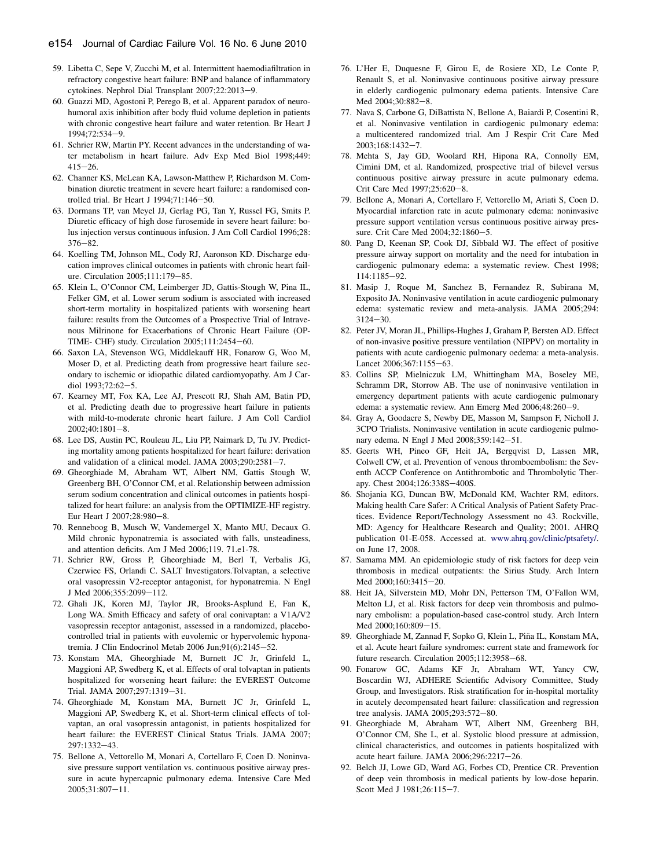- <span id="page-20-0"></span>59. Libetta C, Sepe V, Zucchi M, et al. Intermittent haemodiafiltration in refractory congestive heart failure: BNP and balance of inflammatory cytokines. Nephrol Dial Transplant 2007;22:2013-9.
- 60. Guazzi MD, Agostoni P, Perego B, et al. Apparent paradox of neurohumoral axis inhibition after body fluid volume depletion in patients with chronic congestive heart failure and water retention. Br Heart J 1994:72:534-9.
- 61. Schrier RW, Martin PY. Recent advances in the understanding of water metabolism in heart failure. Adv Exp Med Biol 1998;449:  $415 - 26$ .
- 62. Channer KS, McLean KA, Lawson-Matthew P, Richardson M. Combination diuretic treatment in severe heart failure: a randomised controlled trial. Br Heart J  $1994;71:146-50$ .
- 63. Dormans TP, van Meyel JJ, Gerlag PG, Tan Y, Russel FG, Smits P. Diuretic efficacy of high dose furosemide in severe heart failure: bolus injection versus continuous infusion. J Am Coll Cardiol 1996;28:  $376 - 82.$
- 64. Koelling TM, Johnson ML, Cody RJ, Aaronson KD. Discharge education improves clinical outcomes in patients with chronic heart failure. Circulation 2005;111:179-85.
- 65. Klein L, O'Connor CM, Leimberger JD, Gattis-Stough W, Pina IL, Felker GM, et al. Lower serum sodium is associated with increased short-term mortality in hospitalized patients with worsening heart failure: results from the Outcomes of a Prospective Trial of Intravenous Milrinone for Exacerbations of Chronic Heart Failure (OP-TIME- CHF) study. Circulation  $2005;111:2454-60$ .
- 66. Saxon LA, Stevenson WG, Middlekauff HR, Fonarow G, Woo M, Moser D, et al. Predicting death from progressive heart failure secondary to ischemic or idiopathic dilated cardiomyopathy. Am J Cardiol 1993;72:62-5.
- 67. Kearney MT, Fox KA, Lee AJ, Prescott RJ, Shah AM, Batin PD, et al. Predicting death due to progressive heart failure in patients with mild-to-moderate chronic heart failure. J Am Coll Cardiol  $2002;40:1801-8.$
- 68. Lee DS, Austin PC, Rouleau JL, Liu PP, Naimark D, Tu JV. Predicting mortality among patients hospitalized for heart failure: derivation and validation of a clinical model. JAMA  $2003;290:2581-7$ .
- 69. Gheorghiade M, Abraham WT, Albert NM, Gattis Stough W, Greenberg BH, O'Connor CM, et al. Relationship between admission serum sodium concentration and clinical outcomes in patients hospitalized for heart failure: an analysis from the OPTIMIZE-HF registry. Eur Heart J 2007:28:980-8.
- 70. Renneboog B, Musch W, Vandemergel X, Manto MU, Decaux G. Mild chronic hyponatremia is associated with falls, unsteadiness, and attention deficits. Am J Med 2006;119. 71.e1-78.
- 71. Schrier RW, Gross P, Gheorghiade M, Berl T, Verbalis JG, Czerwiec FS, Orlandi C. SALT Investigators.Tolvaptan, a selective oral vasopressin V2-receptor antagonist, for hyponatremia. N Engl J Med 2006;355:2099-112.
- 72. Ghali JK, Koren MJ, Taylor JR, Brooks-Asplund E, Fan K, Long WA. Smith Efficacy and safety of oral conivaptan: a V1A/V2 vasopressin receptor antagonist, assessed in a randomized, placebocontrolled trial in patients with euvolemic or hypervolemic hyponatremia. J Clin Endocrinol Metab 2006 Jun;  $91(6)$ :  $2145-52$ .
- 73. Konstam MA, Gheorghiade M, Burnett JC Jr, Grinfeld L, Maggioni AP, Swedberg K, et al. Effects of oral tolvaptan in patients hospitalized for worsening heart failure: the EVEREST Outcome Trial. JAMA 2007;297:1319-31.
- 74. Gheorghiade M, Konstam MA, Burnett JC Jr, Grinfeld L, Maggioni AP, Swedberg K, et al. Short-term clinical effects of tolvaptan, an oral vasopressin antagonist, in patients hospitalized for heart failure: the EVEREST Clinical Status Trials. JAMA 2007; 297:1332-43.
- 75. Bellone A, Vettorello M, Monari A, Cortellaro F, Coen D. Noninvasive pressure support ventilation vs. continuous positive airway pressure in acute hypercapnic pulmonary edema. Intensive Care Med 2005;31:807e11.
- 76. L'Her E, Duquesne F, Girou E, de Rosiere XD, Le Conte P, Renault S, et al. Noninvasive continuous positive airway pressure in elderly cardiogenic pulmonary edema patients. Intensive Care Med 2004;30:882-8.
- 77. Nava S, Carbone G, DiBattista N, Bellone A, Baiardi P, Cosentini R, et al. Noninvasive ventilation in cardiogenic pulmonary edema: a multicentered randomized trial. Am J Respir Crit Care Med 2003;168:1432-7.
- 78. Mehta S, Jay GD, Woolard RH, Hipona RA, Connolly EM, Cimini DM, et al. Randomized, prospective trial of bilevel versus continuous positive airway pressure in acute pulmonary edema. Crit Care Med 1997;25:620-8.
- 79. Bellone A, Monari A, Cortellaro F, Vettorello M, Ariati S, Coen D. Myocardial infarction rate in acute pulmonary edema: noninvasive pressure support ventilation versus continuous positive airway pressure. Crit Care Med 2004;32:1860-5.
- 80. Pang D, Keenan SP, Cook DJ, Sibbald WJ. The effect of positive pressure airway support on mortality and the need for intubation in cardiogenic pulmonary edema: a systematic review. Chest 1998;  $114.1185 - 92$
- 81. Masip J, Roque M, Sanchez B, Fernandez R, Subirana M, Exposito JA. Noninvasive ventilation in acute cardiogenic pulmonary edema: systematic review and meta-analysis. JAMA 2005;294:  $3124 - 30.$
- 82. Peter JV, Moran JL, Phillips-Hughes J, Graham P, Bersten AD. Effect of non-invasive positive pressure ventilation (NIPPV) on mortality in patients with acute cardiogenic pulmonary oedema: a meta-analysis. Lancet 2006;367:1155-63.
- 83. Collins SP, Mielniczuk LM, Whittingham MA, Boseley ME, Schramm DR, Storrow AB. The use of noninvasive ventilation in emergency department patients with acute cardiogenic pulmonary edema: a systematic review. Ann Emerg Med 2006;48:260-9.
- 84. Gray A, Goodacre S, Newby DE, Masson M, Sampson F, Nicholl J. 3CPO Trialists. Noninvasive ventilation in acute cardiogenic pulmonary edema. N Engl J Med 2008;359:142-51.
- 85. Geerts WH, Pineo GF, Heit JA, Bergqvist D, Lassen MR, Colwell CW, et al. Prevention of venous thromboembolism: the Seventh ACCP Conference on Antithrombotic and Thrombolytic Therapy. Chest 2004;126:338S-400S.
- 86. Shojania KG, Duncan BW, McDonald KM, Wachter RM, editors. Making health Care Safer: A Critical Analysis of Patient Safety Practices. Evidence Report/Technology Assessment no 43. Rockville, MD: Agency for Healthcare Research and Quality; 2001. AHRQ publication 01-E-058. Accessed at. [www.ahrq.gov/clinic/ptsafety/](http://www.ahrq.gov/clinic/ptsafety/). on June 17, 2008.
- 87. Samama MM. An epidemiologic study of risk factors for deep vein thrombosis in medical outpatients: the Sirius Study. Arch Intern Med 2000;160:3415-20.
- 88. Heit JA, Silverstein MD, Mohr DN, Petterson TM, O'Fallon WM, Melton LJ, et al. Risk factors for deep vein thrombosis and pulmonary embolism: a population-based case-control study. Arch Intern Med 2000;160:809-15.
- 89. Gheorghiade M, Zannad F, Sopko G, Klein L, Piña IL, Konstam MA, et al. Acute heart failure syndromes: current state and framework for future research. Circulation  $2005;112:3958-68$ .
- 90. Fonarow GC, Adams KF Jr, Abraham WT, Yancy CW, Boscardin WJ, ADHERE Scientific Advisory Committee, Study Group, and Investigators. Risk stratification for in-hospital mortality in acutely decompensated heart failure: classification and regression tree analysis. JAMA 2005;293:572-80.
- 91. Gheorghiade M, Abraham WT, Albert NM, Greenberg BH, O'Connor CM, She L, et al. Systolic blood pressure at admission, clinical characteristics, and outcomes in patients hospitalized with acute heart failure. JAMA 2006;296:2217-26.
- 92. Belch JJ, Lowe GD, Ward AG, Forbes CD, Prentice CR. Prevention of deep vein thrombosis in medical patients by low-dose heparin. Scott Med J 1981;26:115-7.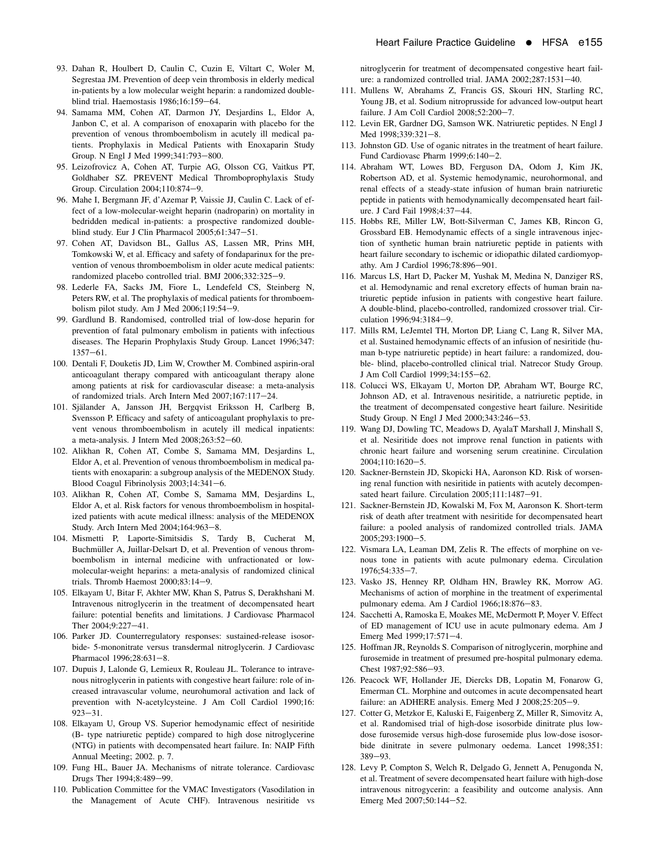- <span id="page-21-0"></span>93. Dahan R, Houlbert D, Caulin C, Cuzin E, Viltart C, Woler M, Segrestaa JM. Prevention of deep vein thrombosis in elderly medical in-patients by a low molecular weight heparin: a randomized doubleblind trial. Haemostasis  $1986;16:159-64$ .
- 94. Samama MM, Cohen AT, Darmon JY, Desjardins L, Eldor A, Janbon C, et al. A comparison of enoxaparin with placebo for the prevention of venous thromboembolism in acutely ill medical patients. Prophylaxis in Medical Patients with Enoxaparin Study Group. N Engl J Med 1999;341:793-800.
- 95. Leizofrovicz A, Cohen AT, Turpie AG, Olsson CG, Vaitkus PT, Goldhaber SZ. PREVENT Medical Thromboprophylaxis Study Group. Circulation 2004;110:874-9.
- 96. Mahe I, Bergmann JF, d'Azemar P, Vaissie JJ, Caulin C. Lack of effect of a low-molecular-weight heparin (nadroparin) on mortality in bedridden medical in-patients: a prospective randomized doubleblind study. Eur J Clin Pharmacol  $2005;61:347-51$ .
- 97. Cohen AT, Davidson BL, Gallus AS, Lassen MR, Prins MH, Tomkowski W, et al. Efficacy and safety of fondaparinux for the prevention of venous thromboembolism in older acute medical patients: randomized placebo controlled trial. BMJ 2006;332:325-9.
- 98. Lederle FA, Sacks JM, Fiore L, Lendefeld CS, Steinberg N, Peters RW, et al. The prophylaxis of medical patients for thromboembolism pilot study. Am J Med  $2006;119:54-9$ .
- 99. Gardlund B. Randomised, controlled trial of low-dose heparin for prevention of fatal pulmonary embolism in patients with infectious diseases. The Heparin Prophylaxis Study Group. Lancet 1996;347:  $1357 - 61$ .
- 100. Dentali F, Douketis JD, Lim W, Crowther M. Combined aspirin-oral anticoagulant therapy compared with anticoagulant therapy alone among patients at risk for cardiovascular disease: a meta-analysis of randomized trials. Arch Intern Med 2007;167:117-24.
- 101. Själander A, Jansson JH, Bergqvist Eriksson H, Carlberg B, Svensson P. Efficacy and safety of anticoagulant prophylaxis to prevent venous thromboembolism in acutely ill medical inpatients: a meta-analysis. J Intern Med  $2008;263:52-60$ .
- 102. Alikhan R, Cohen AT, Combe S, Samama MM, Desjardins L, Eldor A, et al. Prevention of venous thromboembolism in medical patients with enoxaparin: a subgroup analysis of the MEDENOX Study. Blood Coagul Fibrinolysis  $2003;14:341-6$ .
- 103. Alikhan R, Cohen AT, Combe S, Samama MM, Desjardins L, Eldor A, et al. Risk factors for venous thromboembolism in hospitalized patients with acute medical illness: analysis of the MEDENOX Study. Arch Intern Med 2004;164:963-8.
- 104. Mismetti P, Laporte-Simitsidis S, Tardy B, Cucherat M, Buchmüller A, Juillar-Delsart D, et al. Prevention of venous thromboembolism in internal medicine with unfractionated or lowmolecular-weight heparins: a meta-analysis of randomized clinical trials. Thromb Haemost  $2000;83:14-9$ .
- 105. Elkayam U, Bitar F, Akhter MW, Khan S, Patrus S, Derakhshani M. Intravenous nitroglycerin in the treatment of decompensated heart failure: potential benefits and limitations. J Cardiovasc Pharmacol Ther 2004;9:227-41.
- 106. Parker JD. Counterregulatory responses: sustained-release isosorbide- 5-mononitrate versus transdermal nitroglycerin. J Cardiovasc Pharmacol 1996;28:631-8.
- 107. Dupuis J, Lalonde G, Lemieux R, Rouleau JL. Tolerance to intravenous nitroglycerin in patients with congestive heart failure: role of increased intravascular volume, neurohumoral activation and lack of prevention with N-acetylcysteine. J Am Coll Cardiol 1990;16:  $923 - 31.$
- 108. Elkayam U, Group VS. Superior hemodynamic effect of nesiritide (B- type natriuretic peptide) compared to high dose nitroglycerine (NTG) in patients with decompensated heart failure. In: NAIP Fifth Annual Meeting; 2002. p. 7.
- 109. Fung HL, Bauer JA. Mechanisms of nitrate tolerance. Cardiovasc Drugs Ther 1994;8:489-99.
- 110. Publication Committee for the VMAC Investigators (Vasodilation in the Management of Acute CHF). Intravenous nesiritide vs

nitroglycerin for treatment of decompensated congestive heart failure: a randomized controlled trial. JAMA 2002;287:1531-40.

- 111. Mullens W, Abrahams Z, Francis GS, Skouri HN, Starling RC, Young JB, et al. Sodium nitroprusside for advanced low-output heart failure. J Am Coll Cardiol 2008;52:200-7.
- 112. Levin ER, Gardner DG, Samson WK. Natriuretic peptides. N Engl J Med 1998;339:321-8.
- 113. Johnston GD. Use of oganic nitrates in the treatment of heart failure. Fund Cardiovasc Pharm 1999;6:140-2.
- 114. Abraham WT, Lowes BD, Ferguson DA, Odom J, Kim JK, Robertson AD, et al. Systemic hemodynamic, neurohormonal, and renal effects of a steady-state infusion of human brain natriuretic peptide in patients with hemodynamically decompensated heart failure. J Card Fail 1998;4:37-44.
- 115. Hobbs RE, Miller LW, Bott-Silverman C, James KB, Rincon G, Grossbard EB. Hemodynamic effects of a single intravenous injection of synthetic human brain natriuretic peptide in patients with heart failure secondary to ischemic or idiopathic dilated cardiomyopathy. Am J Cardiol 1996;78:896-901.
- 116. Marcus LS, Hart D, Packer M, Yushak M, Medina N, Danziger RS, et al. Hemodynamic and renal excretory effects of human brain natriuretic peptide infusion in patients with congestive heart failure. A double-blind, placebo-controlled, randomized crossover trial. Circulation 1996;94:3184-9.
- 117. Mills RM, LeJemtel TH, Morton DP, Liang C, Lang R, Silver MA, et al. Sustained hemodynamic effects of an infusion of nesiritide (human b-type natriuretic peptide) in heart failure: a randomized, double- blind, placebo-controlled clinical trial. Natrecor Study Group. J Am Coll Cardiol 1999;34:155-62.
- 118. Colucci WS, Elkayam U, Morton DP, Abraham WT, Bourge RC, Johnson AD, et al. Intravenous nesiritide, a natriuretic peptide, in the treatment of decompensated congestive heart failure. Nesiritide Study Group. N Engl J Med 2000;343:246-53.
- 119. Wang DJ, Dowling TC, Meadows D, AyalaT Marshall J, Minshall S, et al. Nesiritide does not improve renal function in patients with chronic heart failure and worsening serum creatinine. Circulation 2004;110:1620-5.
- 120. Sackner-Bernstein JD, Skopicki HA, Aaronson KD. Risk of worsening renal function with nesiritide in patients with acutely decompensated heart failure. Circulation 2005;111:1487-91.
- 121. Sackner-Bernstein JD, Kowalski M, Fox M, Aaronson K. Short-term risk of death after treatment with nesiritide for decompensated heart failure: a pooled analysis of randomized controlled trials. JAMA 2005;293:1900-5.
- 122. Vismara LA, Leaman DM, Zelis R. The effects of morphine on venous tone in patients with acute pulmonary edema. Circulation 1976;54:335-7.
- 123. Vasko JS, Henney RP, Oldham HN, Brawley RK, Morrow AG. Mechanisms of action of morphine in the treatment of experimental pulmonary edema. Am J Cardiol 1966;18:876-83.
- 124. Sacchetti A, Ramoska E, Moakes ME, McDermott P, Moyer V. Effect of ED management of ICU use in acute pulmonary edema. Am J Emerg Med 1999;17:571-4.
- 125. Hoffman JR, Reynolds S. Comparison of nitroglycerin, morphine and furosemide in treatment of presumed pre-hospital pulmonary edema. Chest 1987:92:586-93.
- 126. Peacock WF, Hollander JE, Diercks DB, Lopatin M, Fonarow G, Emerman CL. Morphine and outcomes in acute decompensated heart failure: an ADHERE analysis. Emerg Med J 2008;25:205-9.
- 127. Cotter G, Metzkor E, Kaluski E, Faigenberg Z, Miller R, Simovitz A, et al. Randomised trial of high-dose isosorbide dinitrate plus lowdose furosemide versus high-dose furosemide plus low-dose isosorbide dinitrate in severe pulmonary oedema. Lancet 1998;351:  $389 - 93$ .
- 128. Levy P, Compton S, Welch R, Delgado G, Jennett A, Penugonda N, et al. Treatment of severe decompensated heart failure with high-dose intravenous nitrogycerin: a feasibility and outcome analysis. Ann Emerg Med 2007;50:144-52.